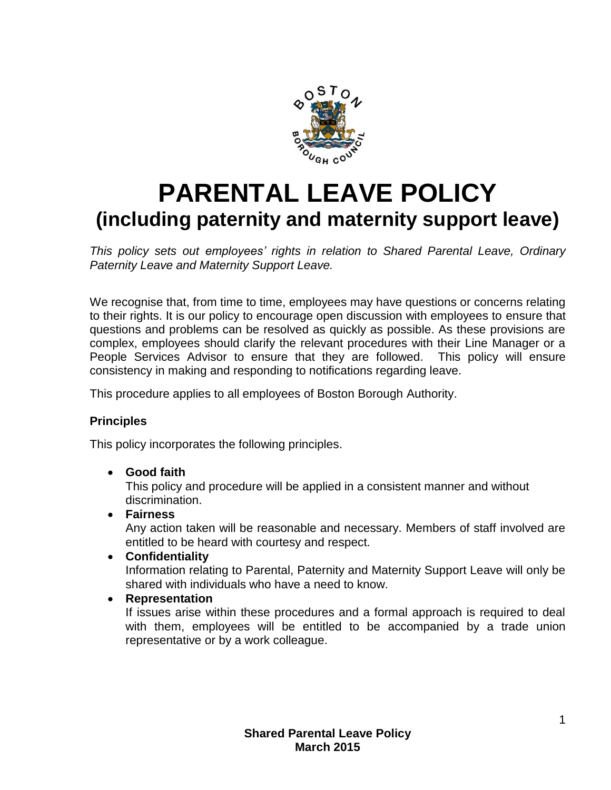

# **PARENTAL LEAVE POLICY (including paternity and maternity support leave)**

*This policy sets out employees' rights in relation to Shared Parental Leave, Ordinary Paternity Leave and Maternity Support Leave.* 

We recognise that, from time to time, employees may have questions or concerns relating to their rights. It is our policy to encourage open discussion with employees to ensure that questions and problems can be resolved as quickly as possible. As these provisions are complex, employees should clarify the relevant procedures with their Line Manager or a People Services Advisor to ensure that they are followed. This policy will ensure consistency in making and responding to notifications regarding leave.

This procedure applies to all employees of Boston Borough Authority.

#### **Principles**

This policy incorporates the following principles.

**Good faith**

This policy and procedure will be applied in a consistent manner and without discrimination.

**Fairness**

Any action taken will be reasonable and necessary. Members of staff involved are entitled to be heard with courtesy and respect.

- **Confidentiality** Information relating to Parental, Paternity and Maternity Support Leave will only be shared with individuals who have a need to know.
- **Representation**

If issues arise within these procedures and a formal approach is required to deal with them, employees will be entitled to be accompanied by a trade union representative or by a work colleague.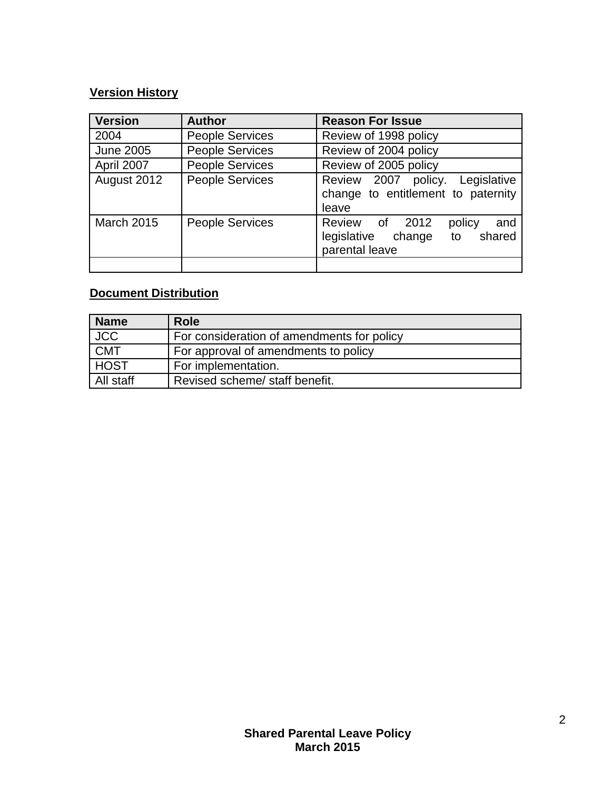# **Version History**

| <b>Version</b>    | <b>Author</b>          | <b>Reason For Issue</b>                                                                       |  |
|-------------------|------------------------|-----------------------------------------------------------------------------------------------|--|
| 2004              | <b>People Services</b> | Review of 1998 policy                                                                         |  |
| <b>June 2005</b>  | <b>People Services</b> | Review of 2004 policy                                                                         |  |
| April 2007        | <b>People Services</b> | Review of 2005 policy                                                                         |  |
| August 2012       | <b>People Services</b> | Review 2007 policy. Legislative<br>change to entitlement to paternity<br>leave                |  |
| <b>March 2015</b> | <b>People Services</b> | Review<br>of 2012<br>policy<br>and<br>shared<br>legislative<br>change<br>to<br>parental leave |  |
|                   |                        |                                                                                               |  |

# **Document Distribution**

| <b>Name</b>             | Role                                       |
|-------------------------|--------------------------------------------|
| <b>JCC</b>              | For consideration of amendments for policy |
| $\overline{\text{CMT}}$ | For approval of amendments to policy       |
| <b>HOST</b>             | For implementation.                        |
| All staff               | Revised scheme/ staff benefit.             |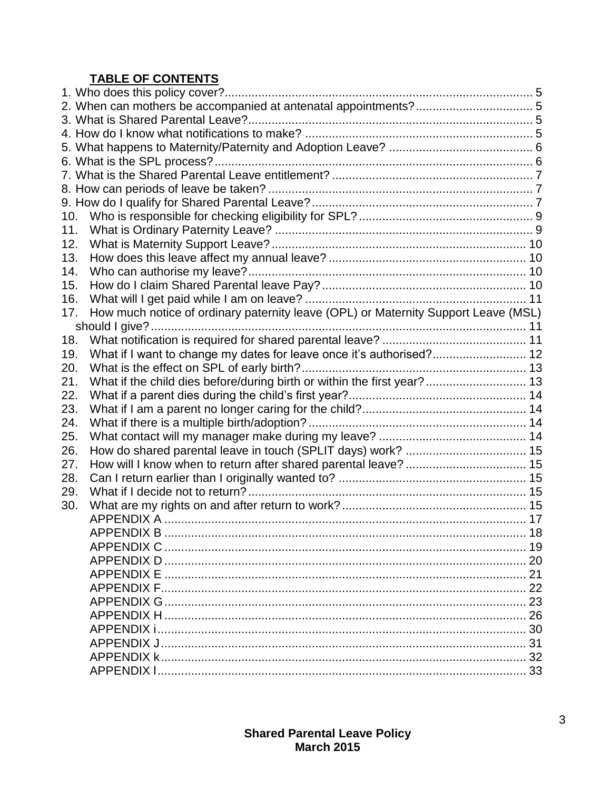# **TABLE OF CONTENTS**

| 10. |                                                                                    |    |
|-----|------------------------------------------------------------------------------------|----|
| 11. |                                                                                    |    |
| 12. |                                                                                    |    |
| 13. |                                                                                    |    |
| 14. |                                                                                    |    |
| 15. |                                                                                    |    |
| 16. |                                                                                    |    |
| 17. | How much notice of ordinary paternity leave (OPL) or Maternity Support Leave (MSL) |    |
|     |                                                                                    |    |
| 18. |                                                                                    |    |
| 19. | What if I want to change my dates for leave once it's authorised? 12               |    |
| 20. |                                                                                    |    |
| 21. | What if the child dies before/during birth or within the first year? 13            |    |
| 22. |                                                                                    |    |
| 23. |                                                                                    |    |
| 24. |                                                                                    |    |
| 25. |                                                                                    |    |
| 26. |                                                                                    |    |
| 27. |                                                                                    |    |
| 28. |                                                                                    |    |
| 29. |                                                                                    |    |
| 30. |                                                                                    |    |
|     |                                                                                    |    |
|     |                                                                                    | 18 |
|     |                                                                                    |    |
|     |                                                                                    |    |
|     |                                                                                    |    |
|     |                                                                                    |    |
|     |                                                                                    |    |
|     |                                                                                    |    |
|     |                                                                                    |    |
|     |                                                                                    |    |
|     |                                                                                    |    |
|     |                                                                                    |    |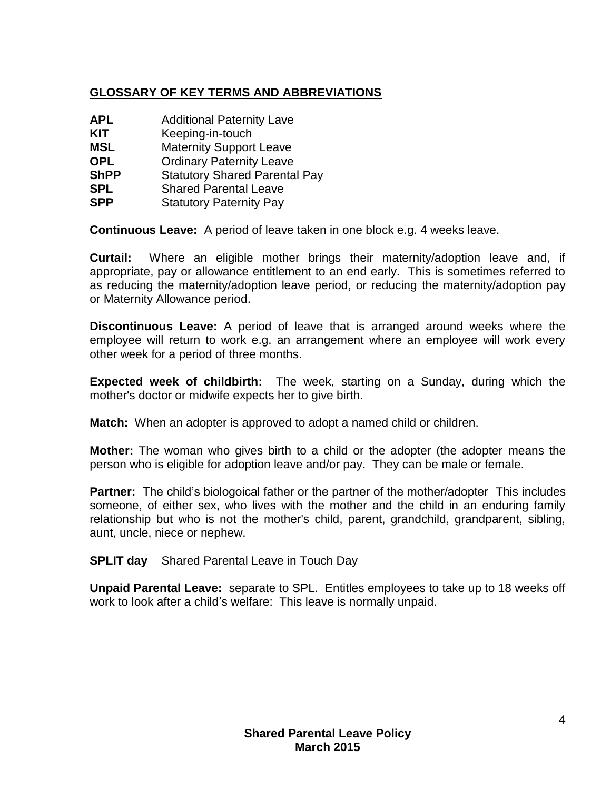# **GLOSSARY OF KEY TERMS AND ABBREVIATIONS**

| APL         | <b>Additional Paternity Lave</b>     |
|-------------|--------------------------------------|
| KIT         | Keeping-in-touch                     |
| MSL         | <b>Maternity Support Leave</b>       |
| OPL         | <b>Ordinary Paternity Leave</b>      |
| <b>ShPP</b> | <b>Statutory Shared Parental Pay</b> |
| SPL         | <b>Shared Parental Leave</b>         |
|             | . <del>.</del>                       |

**SPP** Statutory Paternity Pay

**Continuous Leave:** A period of leave taken in one block e.g. 4 weeks leave.

**Curtail:** Where an eligible mother brings their maternity/adoption leave and, if appropriate, pay or allowance entitlement to an end early. This is sometimes referred to as reducing the maternity/adoption leave period, or reducing the maternity/adoption pay or Maternity Allowance period.

**Discontinuous Leave:** A period of leave that is arranged around weeks where the employee will return to work e.g. an arrangement where an employee will work every other week for a period of three months.

**Expected week of childbirth:** The week, starting on a Sunday, during which the mother's doctor or midwife expects her to give birth.

**Match:** When an adopter is approved to adopt a named child or children.

**Mother:** The woman who gives birth to a child or the adopter (the adopter means the person who is eligible for adoption leave and/or pay. They can be male or female.

**Partner:** The child's biologoical father or the partner of the mother/adopter This includes someone, of either sex, who lives with the mother and the child in an enduring family relationship but who is not the mother's child, parent, grandchild, grandparent, sibling, aunt, uncle, niece or nephew.

**SPLIT day** Shared Parental Leave in Touch Day

**Unpaid Parental Leave:** separate to SPL. Entitles employees to take up to 18 weeks off work to look after a child's welfare: This leave is normally unpaid.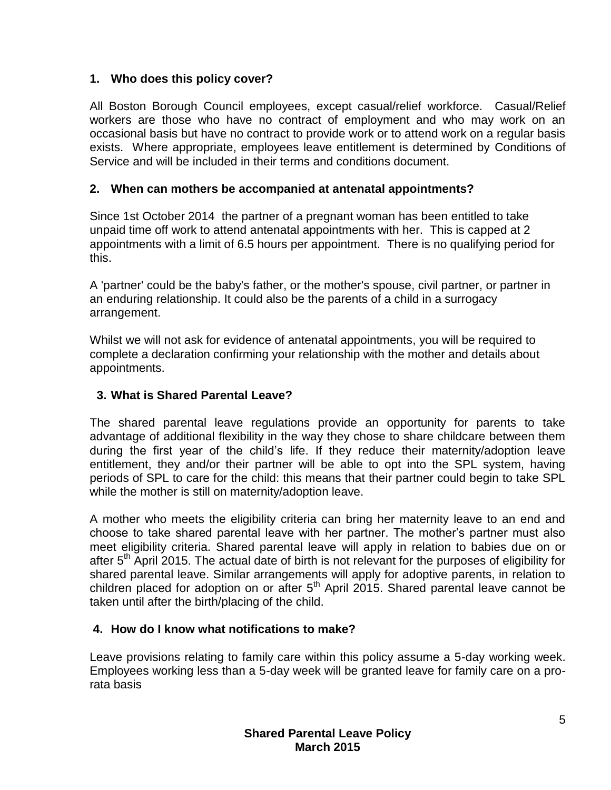#### <span id="page-4-0"></span>**1. Who does this policy cover?**

All Boston Borough Council employees, except casual/relief workforce. Casual/Relief workers are those who have no contract of employment and who may work on an occasional basis but have no contract to provide work or to attend work on a regular basis exists. Where appropriate, employees leave entitlement is determined by Conditions of Service and will be included in their terms and conditions document.

#### <span id="page-4-1"></span>**2. When can mothers be accompanied at antenatal appointments?**

Since 1st October 2014 the partner of a pregnant woman has been entitled to take unpaid time off work to attend antenatal appointments with her. This is capped at 2 appointments with a limit of 6.5 hours per appointment. There is no qualifying period for this.

A 'partner' could be the baby's father, or the mother's spouse, civil partner, or partner in an enduring relationship. It could also be the parents of a child in a surrogacy arrangement.

Whilst we will not ask for evidence of antenatal appointments, you will be required to complete a declaration confirming your relationship with the mother and details about appointments.

### <span id="page-4-2"></span>**3. What is Shared Parental Leave?**

The shared parental leave regulations provide an opportunity for parents to take advantage of additional flexibility in the way they chose to share childcare between them during the first year of the child's life. If they reduce their maternity/adoption leave entitlement, they and/or their partner will be able to opt into the SPL system, having periods of SPL to care for the child: this means that their partner could begin to take SPL while the mother is still on maternity/adoption leave.

A mother who meets the eligibility criteria can bring her maternity leave to an end and choose to take shared parental leave with her partner. The mother's partner must also meet eligibility criteria. Shared parental leave will apply in relation to babies due on or after 5<sup>th</sup> April 2015. The actual date of birth is not relevant for the purposes of eligibility for shared parental leave. Similar arrangements will apply for adoptive parents, in relation to children placed for adoption on or after  $5<sup>th</sup>$  April 2015. Shared parental leave cannot be taken until after the birth/placing of the child.

#### <span id="page-4-3"></span>**4. How do I know what notifications to make?**

Leave provisions relating to family care within this policy assume a 5-day working week. Employees working less than a 5-day week will be granted leave for family care on a prorata basis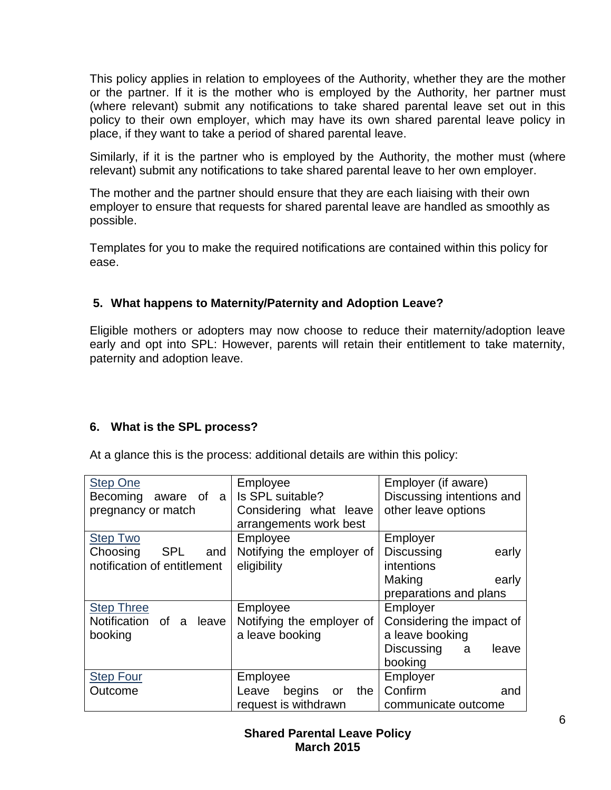This policy applies in relation to employees of the Authority, whether they are the mother or the partner. If it is the mother who is employed by the Authority, her partner must (where relevant) submit any notifications to take shared parental leave set out in this policy to their own employer, which may have its own shared parental leave policy in place, if they want to take a period of shared parental leave.

Similarly, if it is the partner who is employed by the Authority, the mother must (where relevant) submit any notifications to take shared parental leave to her own employer.

The mother and the partner should ensure that they are each liaising with their own employer to ensure that requests for shared parental leave are handled as smoothly as possible.

Templates for you to make the required notifications are contained within this policy for ease.

# <span id="page-5-0"></span>**5. What happens to Maternity/Paternity and Adoption Leave?**

Eligible mothers or adopters may now choose to reduce their maternity/adoption leave early and opt into SPL: However, parents will retain their entitlement to take maternity, paternity and adoption leave.

#### <span id="page-5-1"></span>**6. What is the SPL process?**

At a glance this is the process: additional details are within this policy:

| <b>Step One</b>             | Employee                  | Employer (if aware)       |
|-----------------------------|---------------------------|---------------------------|
| Becoming aware of<br>a l    | Is SPL suitable?          | Discussing intentions and |
| pregnancy or match          | Considering what leave    | other leave options       |
|                             | arrangements work best    |                           |
| <b>Step Two</b>             | Employee                  | Employer                  |
| Choosing SPL<br>and         | Notifying the employer of | Discussing<br>early       |
| notification of entitlement | eligibility               | intentions                |
|                             |                           | Making<br>early           |
|                             |                           | preparations and plans    |
| <b>Step Three</b>           | Employee                  | Employer                  |
| Notification of a leave     | Notifying the employer of | Considering the impact of |
| booking                     | a leave booking           | a leave booking           |
|                             |                           | Discussing a<br>leave     |
|                             |                           | booking                   |
| <b>Step Four</b>            | Employee                  | Employer                  |
| Outcome                     | begins or<br>the<br>Leave | Confirm<br>and            |
|                             | request is withdrawn      | communicate outcome       |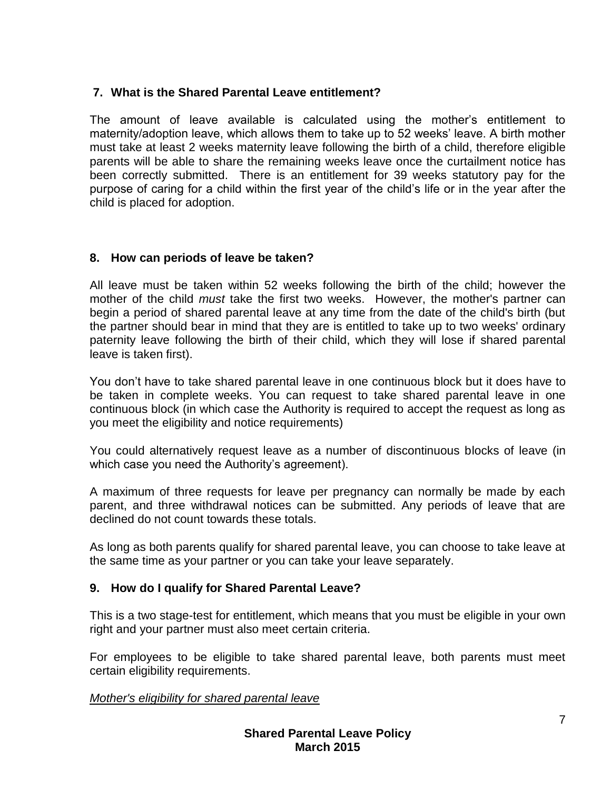#### <span id="page-6-0"></span>**7. What is the Shared Parental Leave entitlement?**

The amount of leave available is calculated using the mother's entitlement to maternity/adoption leave, which allows them to take up to 52 weeks' leave. A birth mother must take at least 2 weeks maternity leave following the birth of a child, therefore eligible parents will be able to share the remaining weeks leave once the curtailment notice has been correctly submitted. There is an entitlement for 39 weeks statutory pay for the purpose of caring for a child within the first year of the child's life or in the year after the child is placed for adoption.

#### <span id="page-6-1"></span>**8. How can periods of leave be taken?**

All leave must be taken within 52 weeks following the birth of the child; however the mother of the child *must* take the first two weeks. However, the mother's partner can begin a period of shared parental leave at any time from the date of the child's birth (but the partner should bear in mind that they are is entitled to take up to two weeks' ordinary paternity leave following the birth of their child, which they will lose if shared parental leave is taken first).

You don't have to take shared parental leave in one continuous block but it does have to be taken in complete weeks. You can request to take shared parental leave in one continuous block (in which case the Authority is required to accept the request as long as you meet the eligibility and notice requirements)

You could alternatively request leave as a number of discontinuous blocks of leave (in which case you need the Authority's agreement).

A maximum of three requests for leave per pregnancy can normally be made by each parent, and three withdrawal notices can be submitted. Any periods of leave that are declined do not count towards these totals.

As long as both parents qualify for shared parental leave, you can choose to take leave at the same time as your partner or you can take your leave separately.

# <span id="page-6-2"></span>**9. How do I qualify for Shared Parental Leave?**

This is a two stage-test for entitlement, which means that you must be eligible in your own right and your partner must also meet certain criteria.

For employees to be eligible to take shared parental leave, both parents must meet certain eligibility requirements.

#### *Mother's eligibility for shared parental leave*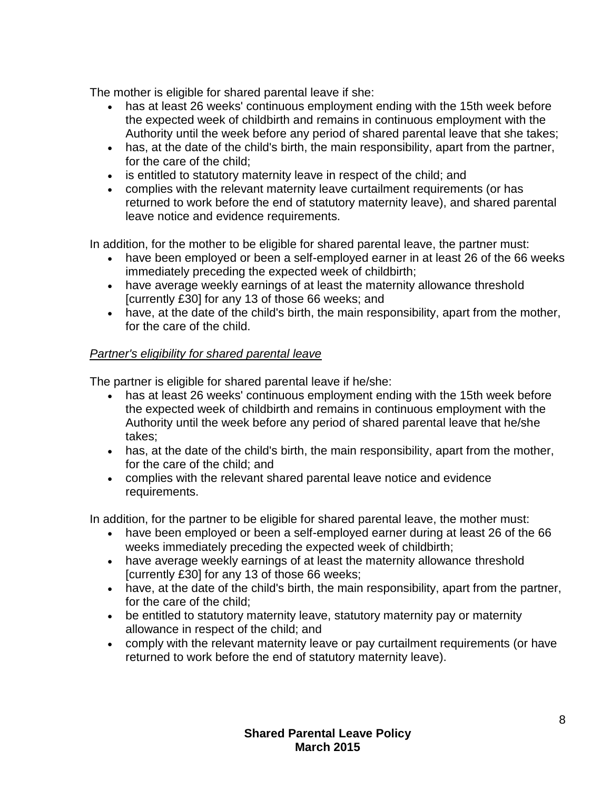The mother is eligible for shared parental leave if she:

- has at least 26 weeks' continuous employment ending with the 15th week before the expected week of childbirth and remains in continuous employment with the Authority until the week before any period of shared parental leave that she takes;
- has, at the date of the child's birth, the main responsibility, apart from the partner, for the care of the child;
- is entitled to statutory maternity leave in respect of the child; and
- complies with the relevant maternity leave curtailment requirements (or has returned to work before the end of statutory maternity leave), and shared parental leave notice and evidence requirements.

In addition, for the mother to be eligible for shared parental leave, the partner must:

- have been employed or been a self-employed earner in at least 26 of the 66 weeks immediately preceding the expected week of childbirth;
- have average weekly earnings of at least the maternity allowance threshold [currently £30] for any 13 of those 66 weeks; and
- have, at the date of the child's birth, the main responsibility, apart from the mother, for the care of the child.

#### *Partner's eligibility for shared parental leave*

The partner is eligible for shared parental leave if he/she:

- has at least 26 weeks' continuous employment ending with the 15th week before the expected week of childbirth and remains in continuous employment with the Authority until the week before any period of shared parental leave that he/she takes;
- has, at the date of the child's birth, the main responsibility, apart from the mother, for the care of the child; and
- complies with the relevant shared parental leave notice and evidence requirements.

In addition, for the partner to be eligible for shared parental leave, the mother must:

- have been employed or been a self-employed earner during at least 26 of the 66 weeks immediately preceding the expected week of childbirth;
- have average weekly earnings of at least the maternity allowance threshold [currently £30] for any 13 of those 66 weeks;
- have, at the date of the child's birth, the main responsibility, apart from the partner, for the care of the child;
- be entitled to statutory maternity leave, statutory maternity pay or maternity allowance in respect of the child; and
- comply with the relevant maternity leave or pay curtailment requirements (or have returned to work before the end of statutory maternity leave).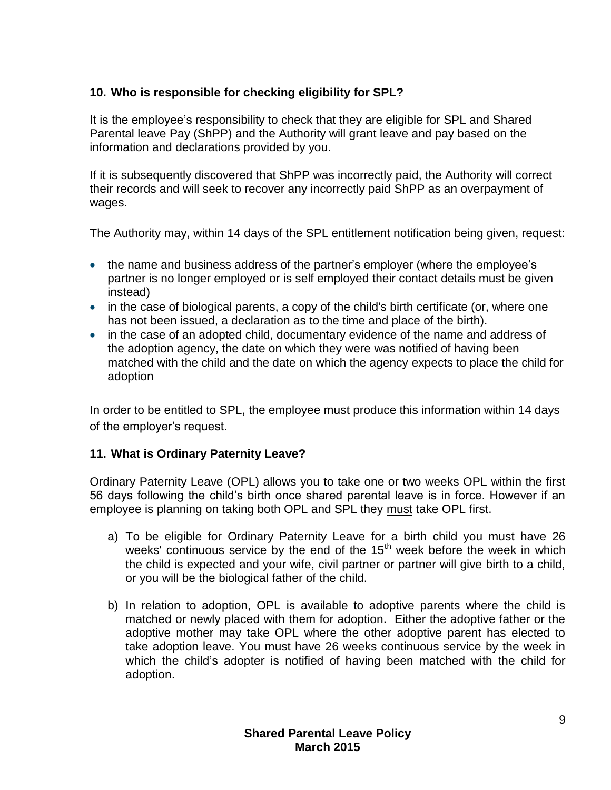### <span id="page-8-0"></span>**10. Who is responsible for checking eligibility for SPL?**

It is the employee's responsibility to check that they are eligible for SPL and Shared Parental leave Pay (ShPP) and the Authority will grant leave and pay based on the information and declarations provided by you.

If it is subsequently discovered that ShPP was incorrectly paid, the Authority will correct their records and will seek to recover any incorrectly paid ShPP as an overpayment of wages.

The Authority may, within 14 days of the SPL entitlement notification being given, request:

- the name and business address of the partner's employer (where the employee's partner is no longer employed or is self employed their contact details must be given instead)
- in the case of biological parents, a copy of the child's birth certificate (or, where one has not been issued, a declaration as to the time and place of the birth).
- in the case of an adopted child, documentary evidence of the name and address of the adoption agency, the date on which they were was notified of having been matched with the child and the date on which the agency expects to place the child for adoption

In order to be entitled to SPL, the employee must produce this information within 14 days of the employer's request.

#### <span id="page-8-1"></span>**11. What is Ordinary Paternity Leave?**

Ordinary Paternity Leave (OPL) allows you to take one or two weeks OPL within the first 56 days following the child's birth once shared parental leave is in force. However if an employee is planning on taking both OPL and SPL they must take OPL first.

- a) To be eligible for Ordinary Paternity Leave for a birth child you must have 26 weeks' continuous service by the end of the  $15<sup>th</sup>$  week before the week in which the child is expected and your wife, civil partner or partner will give birth to a child, or you will be the biological father of the child.
- b) In relation to adoption, OPL is available to adoptive parents where the child is matched or newly placed with them for adoption. Either the adoptive father or the adoptive mother may take OPL where the other adoptive parent has elected to take adoption leave. You must have 26 weeks continuous service by the week in which the child's adopter is notified of having been matched with the child for adoption.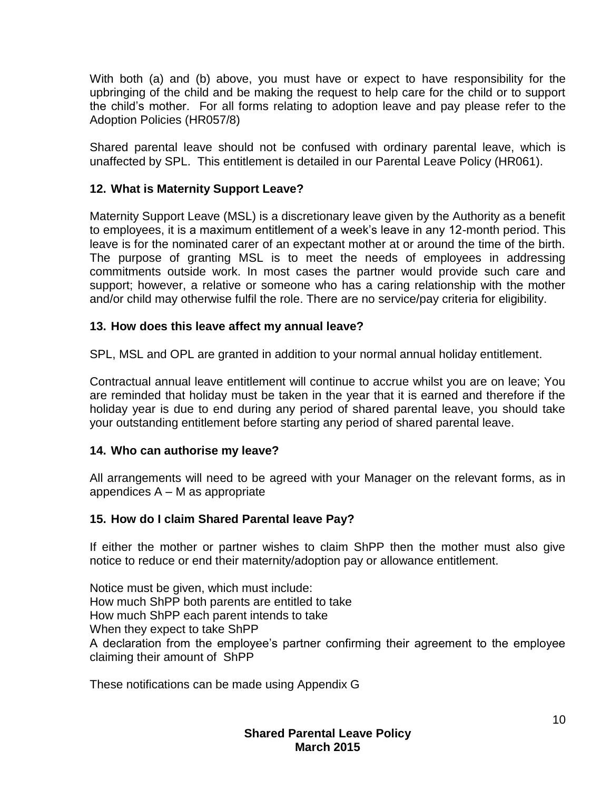With both (a) and (b) above, you must have or expect to have responsibility for the upbringing of the child and be making the request to help care for the child or to support the child's mother. For all forms relating to adoption leave and pay please refer to the Adoption Policies (HR057/8)

Shared parental leave should not be confused with ordinary parental leave, which is unaffected by SPL. This entitlement is detailed in our Parental Leave Policy (HR061).

#### <span id="page-9-0"></span>**12. What is Maternity Support Leave?**

Maternity Support Leave (MSL) is a discretionary leave given by the Authority as a benefit to employees, it is a maximum entitlement of a week's leave in any 12-month period. This leave is for the nominated carer of an expectant mother at or around the time of the birth. The purpose of granting MSL is to meet the needs of employees in addressing commitments outside work. In most cases the partner would provide such care and support; however, a relative or someone who has a caring relationship with the mother and/or child may otherwise fulfil the role. There are no service/pay criteria for eligibility.

#### <span id="page-9-1"></span>**13. How does this leave affect my annual leave?**

SPL, MSL and OPL are granted in addition to your normal annual holiday entitlement.

Contractual annual leave entitlement will continue to accrue whilst you are on leave; You are reminded that holiday must be taken in the year that it is earned and therefore if the holiday year is due to end during any period of shared parental leave, you should take your outstanding entitlement before starting any period of shared parental leave.

#### <span id="page-9-2"></span>**14. Who can authorise my leave?**

All arrangements will need to be agreed with your Manager on the relevant forms, as in appendices A – M as appropriate

#### <span id="page-9-3"></span>**15. How do I claim Shared Parental leave Pay?**

If either the mother or partner wishes to claim ShPP then the mother must also give notice to reduce or end their maternity/adoption pay or allowance entitlement.

Notice must be given, which must include: How much ShPP both parents are entitled to take How much ShPP each parent intends to take When they expect to take ShPP A declaration from the employee's partner confirming their agreement to the employee claiming their amount of ShPP

These notifications can be made using Appendix G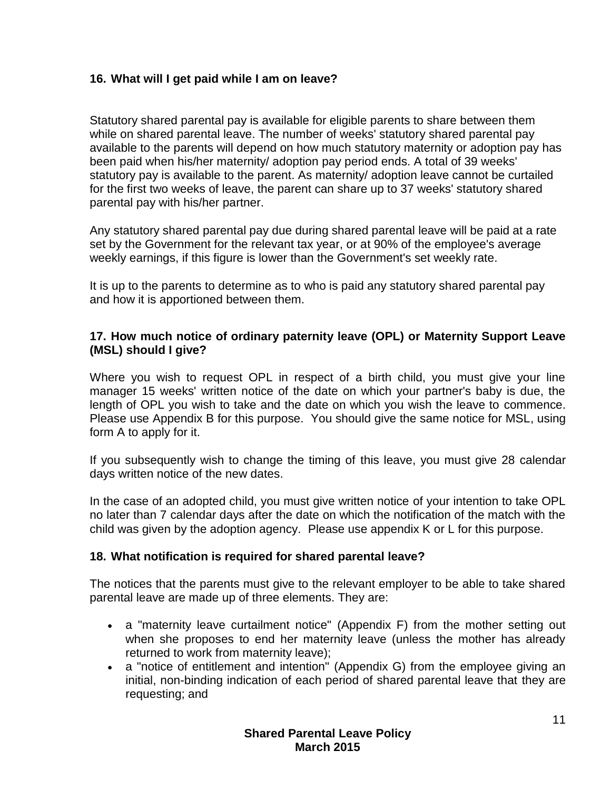#### <span id="page-10-0"></span>**16. What will I get paid while I am on leave?**

Statutory shared parental pay is available for eligible parents to share between them while on shared parental leave. The number of weeks' statutory shared parental pay available to the parents will depend on how much statutory maternity or adoption pay has been paid when his/her maternity/ adoption pay period ends. A total of 39 weeks' statutory pay is available to the parent. As maternity/ adoption leave cannot be curtailed for the first two weeks of leave, the parent can share up to 37 weeks' statutory shared parental pay with his/her partner.

Any statutory shared parental pay due during shared parental leave will be paid at a rate set by the Government for the relevant tax year, or at 90% of the employee's average weekly earnings, if this figure is lower than the Government's set weekly rate.

It is up to the parents to determine as to who is paid any statutory shared parental pay and how it is apportioned between them.

#### <span id="page-10-1"></span>**17. How much notice of ordinary paternity leave (OPL) or Maternity Support Leave (MSL) should I give?**

Where you wish to request OPL in respect of a birth child, you must give your line manager 15 weeks' written notice of the date on which your partner's baby is due, the length of OPL you wish to take and the date on which you wish the leave to commence. Please use Appendix B for this purpose. You should give the same notice for MSL, using form A to apply for it.

If you subsequently wish to change the timing of this leave, you must give 28 calendar days written notice of the new dates.

In the case of an adopted child, you must give written notice of your intention to take OPL no later than 7 calendar days after the date on which the notification of the match with the child was given by the adoption agency. Please use appendix K or L for this purpose.

#### <span id="page-10-2"></span>**18. What notification is required for shared parental leave?**

The notices that the parents must give to the relevant employer to be able to take shared parental leave are made up of three elements. They are:

- a "maternity leave curtailment notice" (Appendix F) from the mother setting out when she proposes to end her maternity leave (unless the mother has already returned to work from maternity leave);
- a "notice of entitlement and intention" (Appendix G) from the employee giving an initial, non-binding indication of each period of shared parental leave that they are requesting; and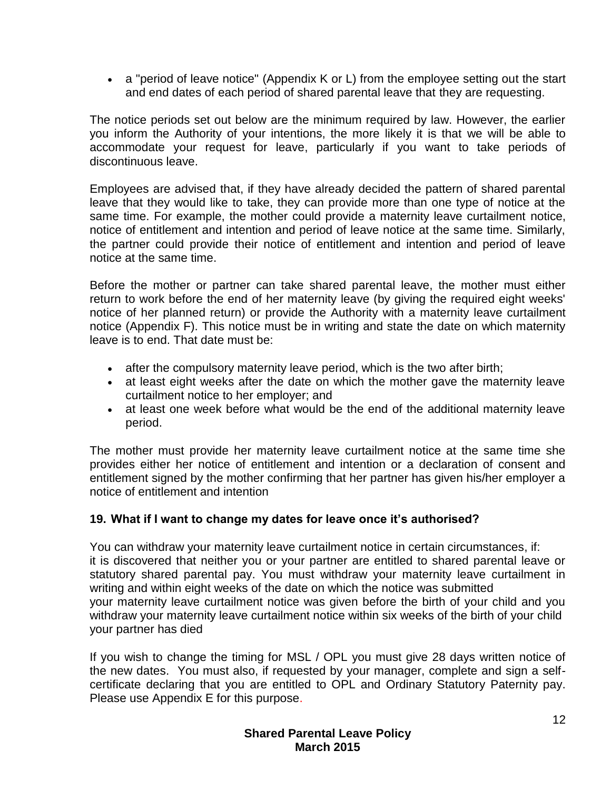• a "period of leave notice" (Appendix K or L) from the employee setting out the start and end dates of each period of shared parental leave that they are requesting.

The notice periods set out below are the minimum required by law. However, the earlier you inform the Authority of your intentions, the more likely it is that we will be able to accommodate your request for leave, particularly if you want to take periods of discontinuous leave.

Employees are advised that, if they have already decided the pattern of shared parental leave that they would like to take, they can provide more than one type of notice at the same time. For example, the mother could provide a maternity leave curtailment notice, notice of entitlement and intention and period of leave notice at the same time. Similarly, the partner could provide their notice of entitlement and intention and period of leave notice at the same time.

Before the mother or partner can take shared parental leave, the mother must either return to work before the end of her maternity leave (by giving the required eight weeks' notice of her planned return) or provide the Authority with a maternity leave curtailment notice (Appendix F). This notice must be in writing and state the date on which maternity leave is to end. That date must be:

- after the compulsory maternity leave period, which is the two after birth;
- at least eight weeks after the date on which the mother gave the maternity leave curtailment notice to her employer; and
- at least one week before what would be the end of the additional maternity leave period.

The mother must provide her maternity leave curtailment notice at the same time she provides either her notice of entitlement and intention or a declaration of consent and entitlement signed by the mother confirming that her partner has given his/her employer a notice of entitlement and intention

#### <span id="page-11-0"></span>**19. What if I want to change my dates for leave once it's authorised?**

You can withdraw your maternity leave curtailment notice in certain circumstances, if: it is discovered that neither you or your partner are entitled to shared parental leave or statutory shared parental pay. You must withdraw your maternity leave curtailment in writing and within eight weeks of the date on which the notice was submitted your maternity leave curtailment notice was given before the birth of your child and you withdraw your maternity leave curtailment notice within six weeks of the birth of your child your partner has died

If you wish to change the timing for MSL / OPL you must give 28 days written notice of the new dates. You must also, if requested by your manager, complete and sign a selfcertificate declaring that you are entitled to OPL and Ordinary Statutory Paternity pay. Please use Appendix E for this purpose.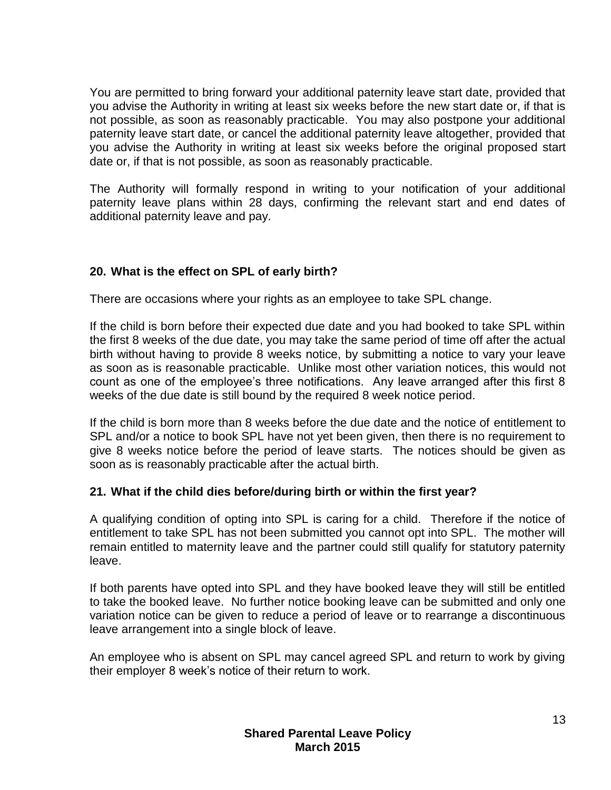You are permitted to bring forward your additional paternity leave start date, provided that you advise the Authority in writing at least six weeks before the new start date or, if that is not possible, as soon as reasonably practicable. You may also postpone your additional paternity leave start date, or cancel the additional paternity leave altogether, provided that you advise the Authority in writing at least six weeks before the original proposed start date or, if that is not possible, as soon as reasonably practicable.

The Authority will formally respond in writing to your notification of your additional paternity leave plans within 28 days, confirming the relevant start and end dates of additional paternity leave and pay.

### <span id="page-12-0"></span>**20. What is the effect on SPL of early birth?**

There are occasions where your rights as an employee to take SPL change.

If the child is born before their expected due date and you had booked to take SPL within the first 8 weeks of the due date, you may take the same period of time off after the actual birth without having to provide 8 weeks notice, by submitting a notice to vary your leave as soon as is reasonable practicable. Unlike most other variation notices, this would not count as one of the employee's three notifications. Any leave arranged after this first 8 weeks of the due date is still bound by the required 8 week notice period.

If the child is born more than 8 weeks before the due date and the notice of entitlement to SPL and/or a notice to book SPL have not yet been given, then there is no requirement to give 8 weeks notice before the period of leave starts. The notices should be given as soon as is reasonably practicable after the actual birth.

#### <span id="page-12-1"></span>**21. What if the child dies before/during birth or within the first year?**

A qualifying condition of opting into SPL is caring for a child. Therefore if the notice of entitlement to take SPL has not been submitted you cannot opt into SPL. The mother will remain entitled to maternity leave and the partner could still qualify for statutory paternity leave.

If both parents have opted into SPL and they have booked leave they will still be entitled to take the booked leave. No further notice booking leave can be submitted and only one variation notice can be given to reduce a period of leave or to rearrange a discontinuous leave arrangement into a single block of leave.

An employee who is absent on SPL may cancel agreed SPL and return to work by giving their employer 8 week's notice of their return to work.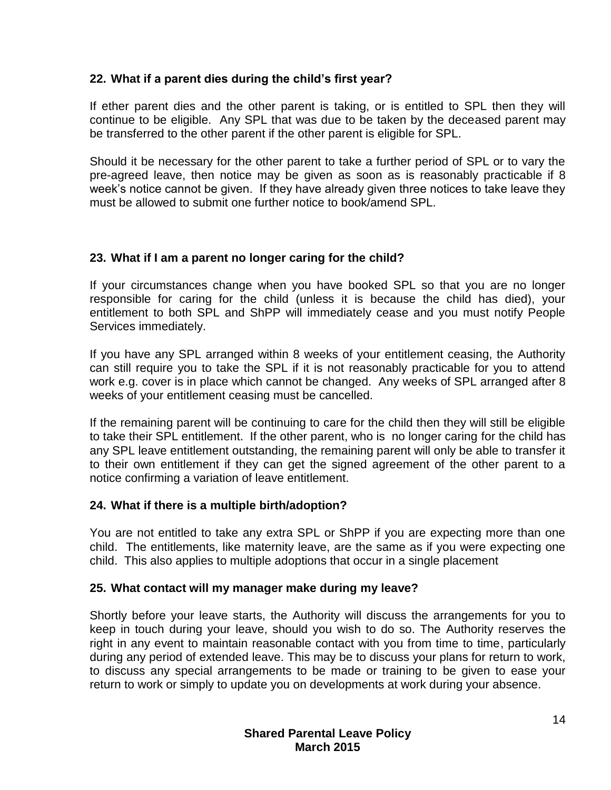#### <span id="page-13-0"></span>**22. What if a parent dies during the child's first year?**

If ether parent dies and the other parent is taking, or is entitled to SPL then they will continue to be eligible. Any SPL that was due to be taken by the deceased parent may be transferred to the other parent if the other parent is eligible for SPL.

Should it be necessary for the other parent to take a further period of SPL or to vary the pre-agreed leave, then notice may be given as soon as is reasonably practicable if 8 week's notice cannot be given. If they have already given three notices to take leave they must be allowed to submit one further notice to book/amend SPL.

#### <span id="page-13-1"></span>**23. What if I am a parent no longer caring for the child?**

If your circumstances change when you have booked SPL so that you are no longer responsible for caring for the child (unless it is because the child has died), your entitlement to both SPL and ShPP will immediately cease and you must notify People Services immediately.

If you have any SPL arranged within 8 weeks of your entitlement ceasing, the Authority can still require you to take the SPL if it is not reasonably practicable for you to attend work e.g. cover is in place which cannot be changed. Any weeks of SPL arranged after 8 weeks of your entitlement ceasing must be cancelled.

If the remaining parent will be continuing to care for the child then they will still be eligible to take their SPL entitlement. If the other parent, who is no longer caring for the child has any SPL leave entitlement outstanding, the remaining parent will only be able to transfer it to their own entitlement if they can get the signed agreement of the other parent to a notice confirming a variation of leave entitlement.

#### <span id="page-13-2"></span>**24. What if there is a multiple birth/adoption?**

You are not entitled to take any extra SPL or ShPP if you are expecting more than one child. The entitlements, like maternity leave, are the same as if you were expecting one child. This also applies to multiple adoptions that occur in a single placement

#### <span id="page-13-3"></span>**25. What contact will my manager make during my leave?**

Shortly before your leave starts, the Authority will discuss the arrangements for you to keep in touch during your leave, should you wish to do so. The Authority reserves the right in any event to maintain reasonable contact with you from time to time, particularly during any period of extended leave. This may be to discuss your plans for return to work, to discuss any special arrangements to be made or training to be given to ease your return to work or simply to update you on developments at work during your absence.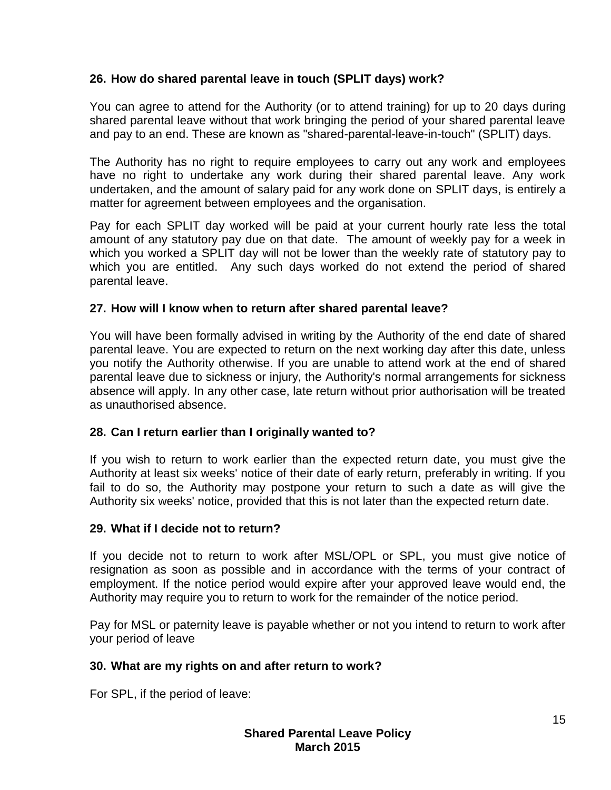#### <span id="page-14-0"></span>**26. How do shared parental leave in touch (SPLIT days) work?**

You can agree to attend for the Authority (or to attend training) for up to 20 days during shared parental leave without that work bringing the period of your shared parental leave and pay to an end. These are known as "shared-parental-leave-in-touch" (SPLIT) days.

The Authority has no right to require employees to carry out any work and employees have no right to undertake any work during their shared parental leave. Any work undertaken, and the amount of salary paid for any work done on SPLIT days, is entirely a matter for agreement between employees and the organisation.

Pay for each SPLIT day worked will be paid at your current hourly rate less the total amount of any statutory pay due on that date. The amount of weekly pay for a week in which you worked a SPLIT day will not be lower than the weekly rate of statutory pay to which you are entitled. Any such days worked do not extend the period of shared parental leave.

#### <span id="page-14-1"></span>**27. How will I know when to return after shared parental leave?**

You will have been formally advised in writing by the Authority of the end date of shared parental leave. You are expected to return on the next working day after this date, unless you notify the Authority otherwise. If you are unable to attend work at the end of shared parental leave due to sickness or injury, the Authority's normal arrangements for sickness absence will apply. In any other case, late return without prior authorisation will be treated as unauthorised absence.

#### <span id="page-14-2"></span>**28. Can I return earlier than I originally wanted to?**

If you wish to return to work earlier than the expected return date, you must give the Authority at least six weeks' notice of their date of early return, preferably in writing. If you fail to do so, the Authority may postpone your return to such a date as will give the Authority six weeks' notice, provided that this is not later than the expected return date.

#### <span id="page-14-3"></span>**29. What if I decide not to return?**

If you decide not to return to work after MSL/OPL or SPL, you must give notice of resignation as soon as possible and in accordance with the terms of your contract of employment. If the notice period would expire after your approved leave would end, the Authority may require you to return to work for the remainder of the notice period.

Pay for MSL or paternity leave is payable whether or not you intend to return to work after your period of leave

#### <span id="page-14-4"></span>**30. What are my rights on and after return to work?**

For SPL, if the period of leave: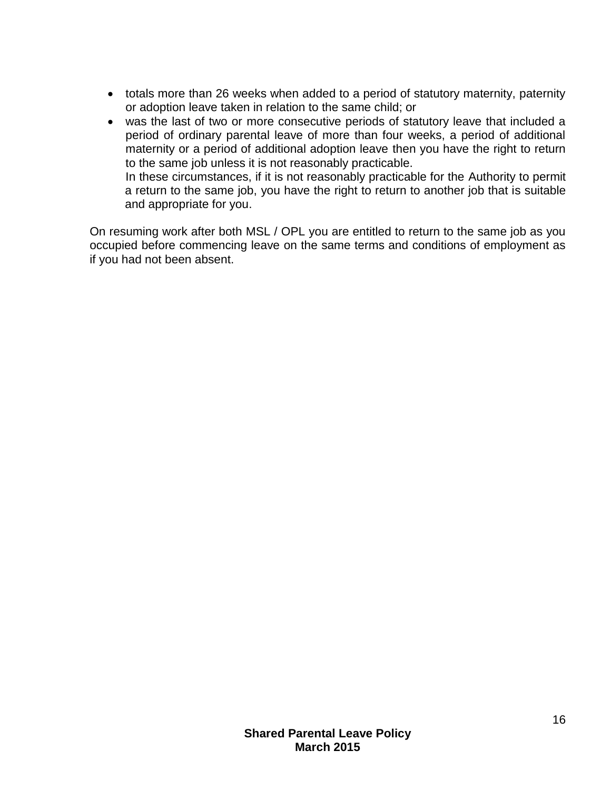- totals more than 26 weeks when added to a period of statutory maternity, paternity or adoption leave taken in relation to the same child; or
- was the last of two or more consecutive periods of statutory leave that included a period of ordinary parental leave of more than four weeks, a period of additional maternity or a period of additional adoption leave then you have the right to return to the same job unless it is not reasonably practicable. In these circumstances, if it is not reasonably practicable for the Authority to permit

a return to the same job, you have the right to return to another job that is suitable and appropriate for you.

On resuming work after both MSL / OPL you are entitled to return to the same job as you occupied before commencing leave on the same terms and conditions of employment as if you had not been absent.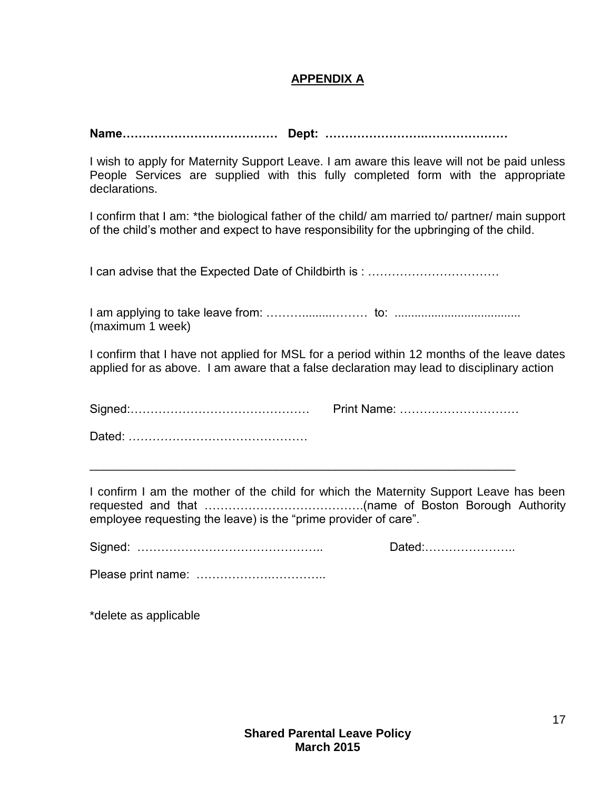#### **APPENDIX A**

<span id="page-16-0"></span>**Name………………………………… Dept: …………………….…………………**

I wish to apply for Maternity Support Leave. I am aware this leave will not be paid unless People Services are supplied with this fully completed form with the appropriate declarations.

I confirm that I am: \*the biological father of the child/ am married to/ partner/ main support of the child's mother and expect to have responsibility for the upbringing of the child.

I can advise that the Expected Date of Childbirth is : ……………………………

I am applying to take leave from: ……….........……… to: ...................................... (maximum 1 week)

\_\_\_\_\_\_\_\_\_\_\_\_\_\_\_\_\_\_\_\_\_\_\_\_\_\_\_\_\_\_\_\_\_\_\_\_\_\_\_\_\_\_\_\_\_\_\_\_\_\_\_\_\_\_\_\_\_\_\_\_\_\_\_\_

I confirm that I have not applied for MSL for a period within 12 months of the leave dates applied for as above. I am aware that a false declaration may lead to disciplinary action

Signed:……………………………………… Print Name: …………………………

Dated: ………………………………………

I confirm I am the mother of the child for which the Maternity Support Leave has been requested and that ………………………………….(name of Boston Borough Authority employee requesting the leave) is the "prime provider of care".

Signed: ……………………………………….. Dated:…………………..

Please print name: ……………….…………..

\*delete as applicable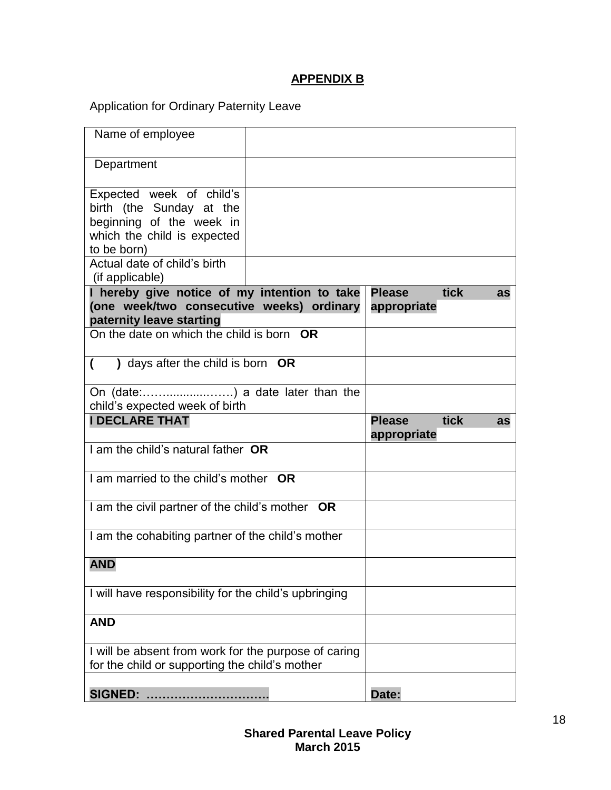# **APPENDIX B**

# <span id="page-17-0"></span>Application for Ordinary Paternity Leave

| Name of employee                                                                                                               |                              |            |
|--------------------------------------------------------------------------------------------------------------------------------|------------------------------|------------|
| Department                                                                                                                     |                              |            |
| Expected week of child's<br>birth (the Sunday at the<br>beginning of the week in<br>which the child is expected<br>to be born) |                              |            |
| Actual date of child's birth<br>(if applicable)                                                                                |                              |            |
| I hereby give notice of my intention to take<br>(one week/two consecutive weeks) ordinary                                      | <b>Please</b><br>appropriate | tick<br>as |
| paternity leave starting                                                                                                       |                              |            |
| On the date on which the child is born OR                                                                                      |                              |            |
| ) days after the child is born OR<br>$\overline{ }$                                                                            |                              |            |
| On (date:) a date later than the<br>child's expected week of birth                                                             |                              |            |
|                                                                                                                                |                              |            |
| <b>I DECLARE THAT</b>                                                                                                          | <b>Please</b><br>appropriate | tick<br>as |
| I am the child's natural father OR                                                                                             |                              |            |
| I am married to the child's mother OR                                                                                          |                              |            |
| I am the civil partner of the child's mother OR                                                                                |                              |            |
| I am the cohabiting partner of the child's mother                                                                              |                              |            |
| <b>AND</b>                                                                                                                     |                              |            |
| I will have responsibility for the child's upbringing                                                                          |                              |            |
| <b>AND</b>                                                                                                                     |                              |            |
| I will be absent from work for the purpose of caring<br>for the child or supporting the child's mother                         |                              |            |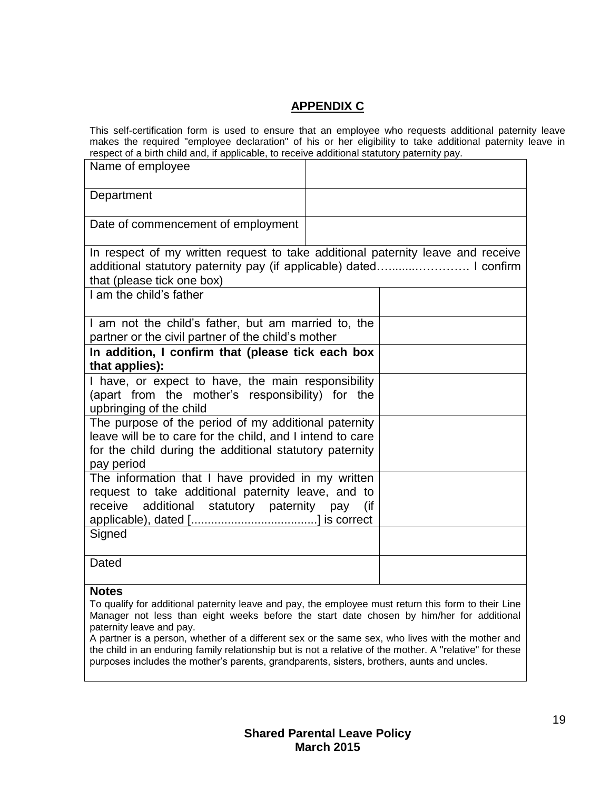#### **APPENDIX C**

<span id="page-18-0"></span>This self-certification form is used to ensure that an employee who requests additional paternity leave makes the required "employee declaration" of his or her eligibility to take additional paternity leave in respect of a birth child and, if applicable, to receive additional statutory paternity pay.

| Name of employee                                                                                                                                                                           |                                                                                                                                                       |
|--------------------------------------------------------------------------------------------------------------------------------------------------------------------------------------------|-------------------------------------------------------------------------------------------------------------------------------------------------------|
| Department                                                                                                                                                                                 |                                                                                                                                                       |
| Date of commencement of employment                                                                                                                                                         |                                                                                                                                                       |
| that (please tick one box)                                                                                                                                                                 | In respect of my written request to take additional paternity leave and receive<br>additional statutory paternity pay (if applicable) dated I confirm |
| I am the child's father                                                                                                                                                                    |                                                                                                                                                       |
| I am not the child's father, but am married to, the<br>partner or the civil partner of the child's mother                                                                                  |                                                                                                                                                       |
| In addition, I confirm that (please tick each box<br>that applies):                                                                                                                        |                                                                                                                                                       |
| I have, or expect to have, the main responsibility<br>(apart from the mother's responsibility) for the<br>upbringing of the child                                                          |                                                                                                                                                       |
| The purpose of the period of my additional paternity<br>leave will be to care for the child, and I intend to care<br>for the child during the additional statutory paternity<br>pay period |                                                                                                                                                       |
| The information that I have provided in my written<br>request to take additional paternity leave, and to<br>additional<br>receive<br>statutory paternity pay                               | (if                                                                                                                                                   |
| Signed                                                                                                                                                                                     |                                                                                                                                                       |
| Dated                                                                                                                                                                                      |                                                                                                                                                       |
| $\mathbf{H}$                                                                                                                                                                               |                                                                                                                                                       |

#### **Notes**

To qualify for additional paternity leave and pay, the employee must return this form to their Line Manager not less than eight weeks before the start date chosen by him/her for additional paternity leave and pay.

A partner is a person, whether of a different sex or the same sex, who lives with the mother and the child in an enduring family relationship but is not a relative of the mother. A "relative" for these purposes includes the mother's parents, grandparents, sisters, brothers, aunts and uncles.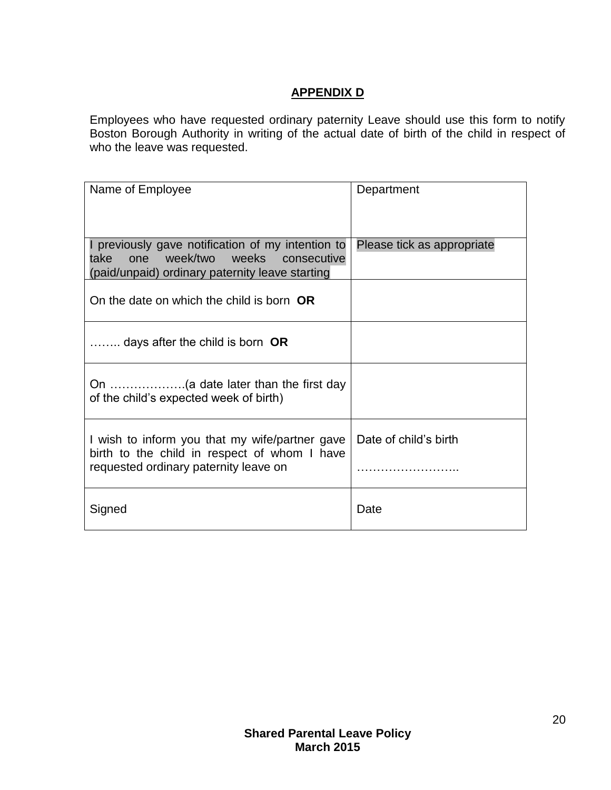#### **APPENDIX D**

<span id="page-19-0"></span>Employees who have requested ordinary paternity Leave should use this form to notify Boston Borough Authority in writing of the actual date of birth of the child in respect of who the leave was requested.

| Name of Employee                                                                                                                            | Department                 |
|---------------------------------------------------------------------------------------------------------------------------------------------|----------------------------|
| I previously gave notification of my intention to<br>take one week/two weeks consecutive<br>(paid/unpaid) ordinary paternity leave starting | Please tick as appropriate |
| On the date on which the child is born OR                                                                                                   |                            |
| days after the child is born OR                                                                                                             |                            |
| of the child's expected week of birth)                                                                                                      |                            |
| I wish to inform you that my wife/partner gave<br>birth to the child in respect of whom I have<br>requested ordinary paternity leave on     | Date of child's birth      |
| Signed                                                                                                                                      | Date                       |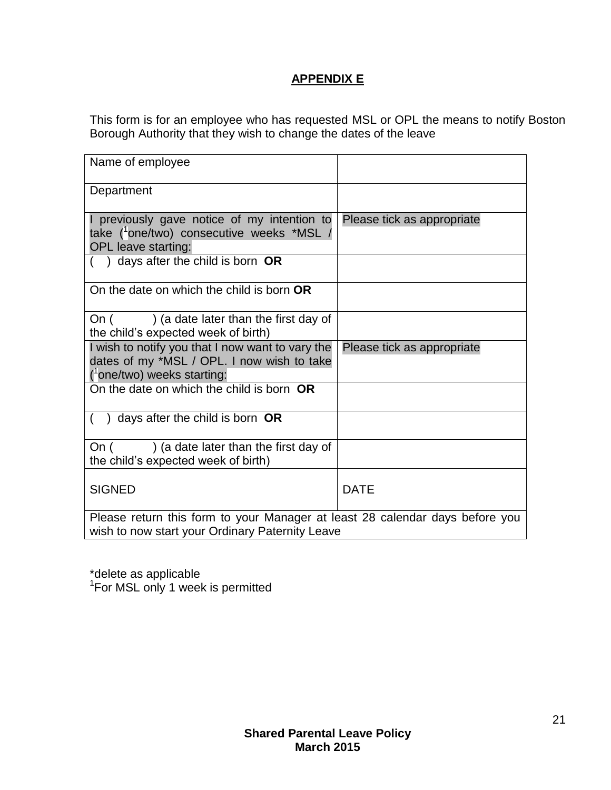#### **APPENDIX E**

<span id="page-20-0"></span>This form is for an employee who has requested MSL or OPL the means to notify Boston Borough Authority that they wish to change the dates of the leave

| Name of employee                                                                                                                 |                            |
|----------------------------------------------------------------------------------------------------------------------------------|----------------------------|
| Department                                                                                                                       |                            |
| I previously gave notice of my intention to<br>take $(^1$ one/two) consecutive weeks *MSL /<br><b>OPL leave starting:</b>        | Please tick as appropriate |
| $($ ) days after the child is born $OR$                                                                                          |                            |
| On the date on which the child is born OR                                                                                        |                            |
| ) (a date later than the first day of<br>On (<br>the child's expected week of birth)                                             |                            |
| I wish to notify you that I now want to vary the<br>dates of my *MSL / OPL. I now wish to take<br>$(^1$ one/two) weeks starting: | Please tick as appropriate |
| On the date on which the child is born OR                                                                                        |                            |
| ) days after the child is born $OR$                                                                                              |                            |
| On (<br>) (a date later than the first day of<br>the child's expected week of birth)                                             |                            |
| <b>SIGNED</b>                                                                                                                    | <b>DATE</b>                |
| Please return this form to your Manager at least 28 calendar days before you<br>wish to now start your Ordinary Paternity Leave  |                            |

\*delete as applicable 1 For MSL only 1 week is permitted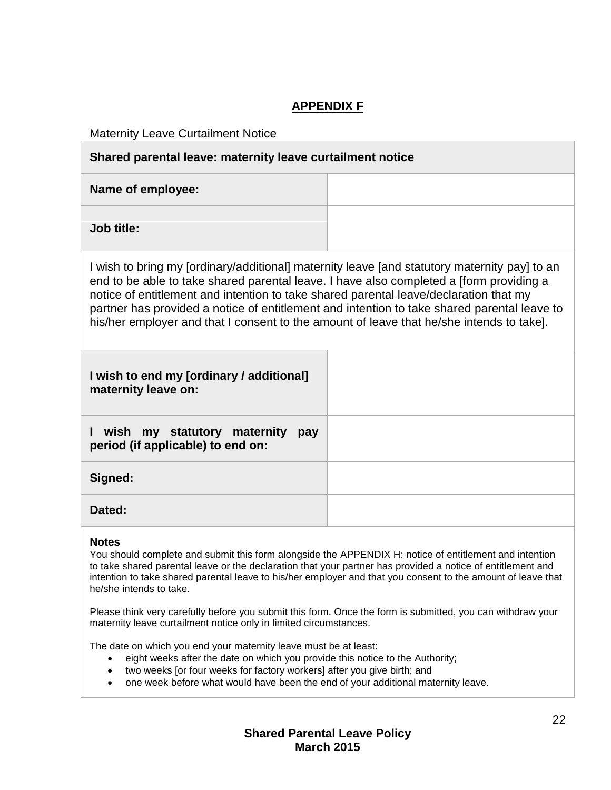# **APPENDIX F**

<span id="page-21-0"></span>Maternity Leave Curtailment Notice

| Shared parental leave: maternity leave curtailment notice                                                                                                                                                                                                                                                                                                                                                                                                                   |  |  |
|-----------------------------------------------------------------------------------------------------------------------------------------------------------------------------------------------------------------------------------------------------------------------------------------------------------------------------------------------------------------------------------------------------------------------------------------------------------------------------|--|--|
| Name of employee:                                                                                                                                                                                                                                                                                                                                                                                                                                                           |  |  |
| Job title:                                                                                                                                                                                                                                                                                                                                                                                                                                                                  |  |  |
| I wish to bring my [ordinary/additional] maternity leave [and statutory maternity pay] to an<br>end to be able to take shared parental leave. I have also completed a [form providing a<br>notice of entitlement and intention to take shared parental leave/declaration that my<br>partner has provided a notice of entitlement and intention to take shared parental leave to<br>his/her employer and that I consent to the amount of leave that he/she intends to take]. |  |  |
| I wish to end my [ordinary / additional]<br>maternity leave on:                                                                                                                                                                                                                                                                                                                                                                                                             |  |  |
| I wish my statutory maternity<br>pay<br>period (if applicable) to end on:                                                                                                                                                                                                                                                                                                                                                                                                   |  |  |
| Signed:                                                                                                                                                                                                                                                                                                                                                                                                                                                                     |  |  |
| Dated:                                                                                                                                                                                                                                                                                                                                                                                                                                                                      |  |  |

#### **Notes**

You should complete and submit this form alongside the APPENDIX H: notice of entitlement and intention to take shared parental leave or the declaration that your partner has provided a notice of entitlement and intention to take shared parental leave to his/her employer and that you consent to the amount of leave that he/she intends to take.

Please think very carefully before you submit this form. Once the form is submitted, you can withdraw your maternity leave curtailment notice only in limited circumstances.

The date on which you end your maternity leave must be at least:

- eight weeks after the date on which you provide this notice to the Authority;
- two weeks [or four weeks for factory workers] after you give birth; and
- one week before what would have been the end of your additional maternity leave.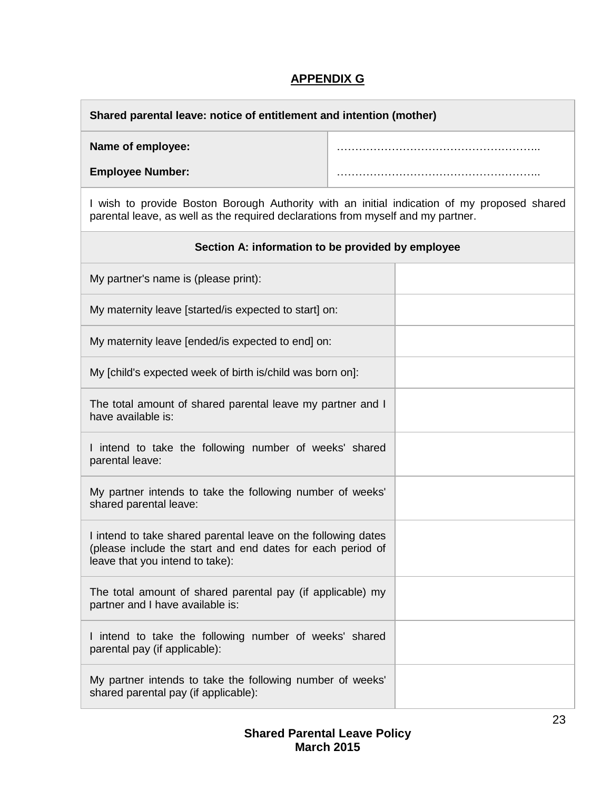# **APPENDIX G**

<span id="page-22-0"></span>

| Shared parental leave: notice of entitlement and intention (mother)                                                                                                             |  |  |
|---------------------------------------------------------------------------------------------------------------------------------------------------------------------------------|--|--|
| Name of employee:                                                                                                                                                               |  |  |
| <b>Employee Number:</b>                                                                                                                                                         |  |  |
| I wish to provide Boston Borough Authority with an initial indication of my proposed shared<br>parental leave, as well as the required declarations from myself and my partner. |  |  |
| Section A: information to be provided by employee                                                                                                                               |  |  |
| My partner's name is (please print):                                                                                                                                            |  |  |
| My maternity leave [started/is expected to start] on:                                                                                                                           |  |  |
| My maternity leave [ended/is expected to end] on:                                                                                                                               |  |  |
| My [child's expected week of birth is/child was born on]:                                                                                                                       |  |  |
| The total amount of shared parental leave my partner and I<br>have available is:                                                                                                |  |  |
| I intend to take the following number of weeks' shared<br>parental leave:                                                                                                       |  |  |
| My partner intends to take the following number of weeks'<br>shared parental leave:                                                                                             |  |  |
| I intend to take shared parental leave on the following dates<br>(please include the start and end dates for each period of<br>leave that you intend to take):                  |  |  |
| The total amount of shared parental pay (if applicable) my<br>partner and I have available is:                                                                                  |  |  |
| I intend to take the following number of weeks' shared<br>parental pay (if applicable):                                                                                         |  |  |
| My partner intends to take the following number of weeks'<br>shared parental pay (if applicable):                                                                               |  |  |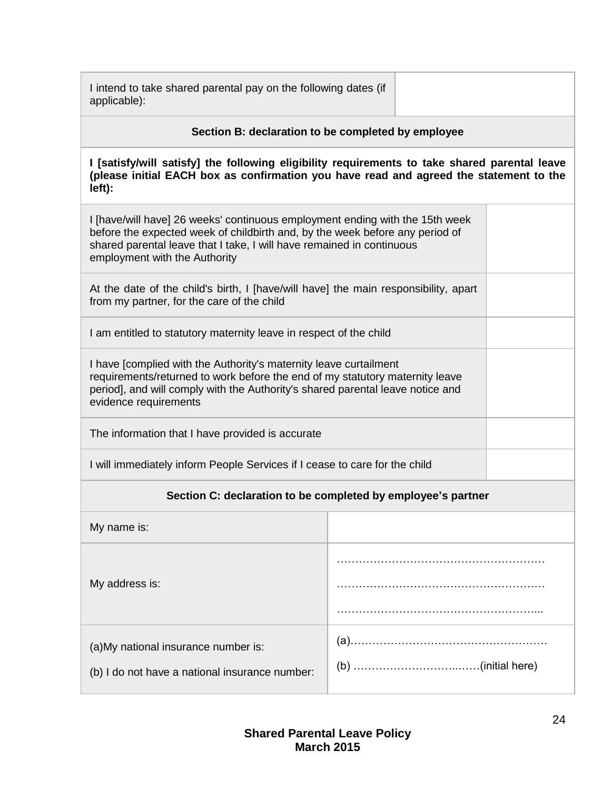| I intend to take shared parental pay on the following dates (if<br>applicable):                                                                                                                                                                                        |  |  |
|------------------------------------------------------------------------------------------------------------------------------------------------------------------------------------------------------------------------------------------------------------------------|--|--|
| Section B: declaration to be completed by employee                                                                                                                                                                                                                     |  |  |
| I [satisfy/will satisfy] the following eligibility requirements to take shared parental leave<br>(please initial EACH box as confirmation you have read and agreed the statement to the<br>$left)$ :                                                                   |  |  |
| I [have/will have] 26 weeks' continuous employment ending with the 15th week<br>before the expected week of childbirth and, by the week before any period of<br>shared parental leave that I take, I will have remained in continuous<br>employment with the Authority |  |  |
| At the date of the child's birth, I [have/will have] the main responsibility, apart<br>from my partner, for the care of the child                                                                                                                                      |  |  |
| I am entitled to statutory maternity leave in respect of the child                                                                                                                                                                                                     |  |  |
| I have [complied with the Authority's maternity leave curtailment<br>requirements/returned to work before the end of my statutory maternity leave<br>period], and will comply with the Authority's shared parental leave notice and<br>evidence requirements           |  |  |
| The information that I have provided is accurate                                                                                                                                                                                                                       |  |  |
| I will immediately inform People Services if I cease to care for the child                                                                                                                                                                                             |  |  |
| Section C: declaration to be completed by employee's partner                                                                                                                                                                                                           |  |  |
| My name is:                                                                                                                                                                                                                                                            |  |  |
| My address is:                                                                                                                                                                                                                                                         |  |  |
| (a) My national insurance number is:<br>(b) I do not have a national insurance number:                                                                                                                                                                                 |  |  |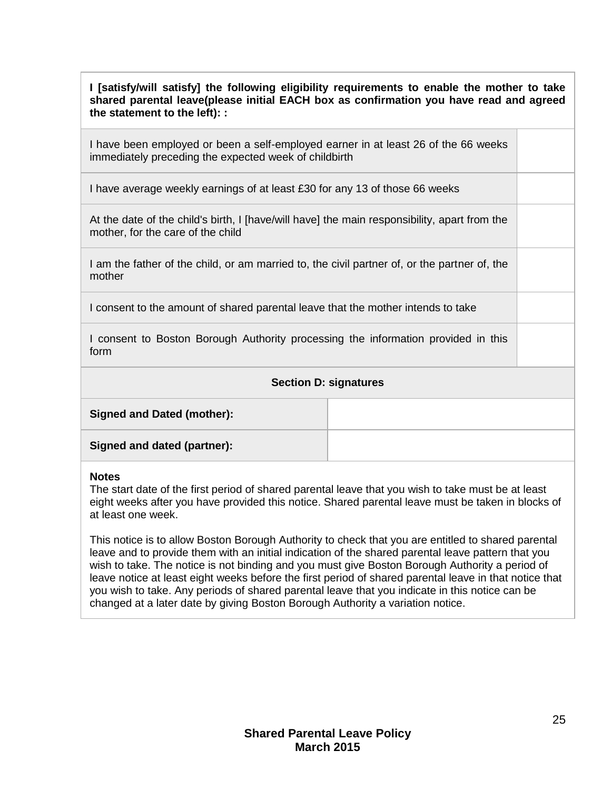**I [satisfy/will satisfy] the following eligibility requirements to enable the mother to take shared parental leave(please initial EACH box as confirmation you have read and agreed the statement to the left): :** I have been employed or been a self-employed earner in at least 26 of the 66 weeks immediately preceding the expected week of childbirth I have average weekly earnings of at least £30 for any 13 of those 66 weeks At the date of the child's birth, I [have/will have] the main responsibility, apart from the mother, for the care of the child I am the father of the child, or am married to, the civil partner of, or the partner of, the mother I consent to the amount of shared parental leave that the mother intends to take I consent to Boston Borough Authority processing the information provided in this form **Section D: signatures Signed and Dated (mother): Signed and dated (partner):**

#### **Notes**

The start date of the first period of shared parental leave that you wish to take must be at least eight weeks after you have provided this notice. Shared parental leave must be taken in blocks of at least one week.

This notice is to allow Boston Borough Authority to check that you are entitled to shared parental leave and to provide them with an initial indication of the shared parental leave pattern that you wish to take. The notice is not binding and you must give Boston Borough Authority a period of leave notice at least eight weeks before the first period of shared parental leave in that notice that you wish to take. Any periods of shared parental leave that you indicate in this notice can be changed at a later date by giving Boston Borough Authority a variation notice.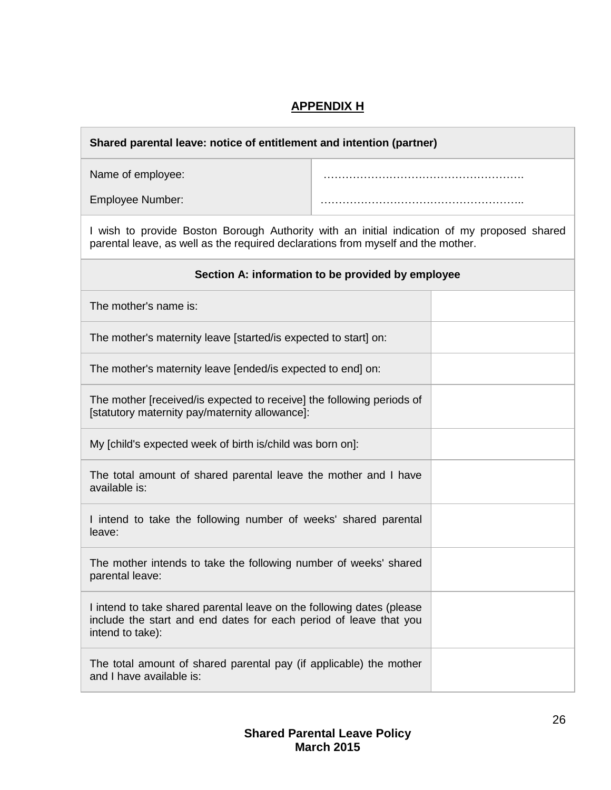# **APPENDIX H**

<span id="page-25-0"></span>

| Shared parental leave: notice of entitlement and intention (partner)                                                                                                            |                                                   |  |
|---------------------------------------------------------------------------------------------------------------------------------------------------------------------------------|---------------------------------------------------|--|
| Name of employee:                                                                                                                                                               |                                                   |  |
| Employee Number:                                                                                                                                                                |                                                   |  |
| I wish to provide Boston Borough Authority with an initial indication of my proposed shared<br>parental leave, as well as the required declarations from myself and the mother. |                                                   |  |
|                                                                                                                                                                                 | Section A: information to be provided by employee |  |
| The mother's name is:                                                                                                                                                           |                                                   |  |
| The mother's maternity leave [started/is expected to start] on:                                                                                                                 |                                                   |  |
| The mother's maternity leave [ended/is expected to end] on:                                                                                                                     |                                                   |  |
| The mother [received/is expected to receive] the following periods of<br>[statutory maternity pay/maternity allowance]:                                                         |                                                   |  |
| My [child's expected week of birth is/child was born on]:                                                                                                                       |                                                   |  |
| The total amount of shared parental leave the mother and I have<br>available is:                                                                                                |                                                   |  |
| I intend to take the following number of weeks' shared parental<br>leave:                                                                                                       |                                                   |  |
| The mother intends to take the following number of weeks' shared<br>parental leave:                                                                                             |                                                   |  |
| I intend to take shared parental leave on the following dates (please<br>include the start and end dates for each period of leave that you<br>intend to take):                  |                                                   |  |
| The total amount of shared parental pay (if applicable) the mother<br>and I have available is:                                                                                  |                                                   |  |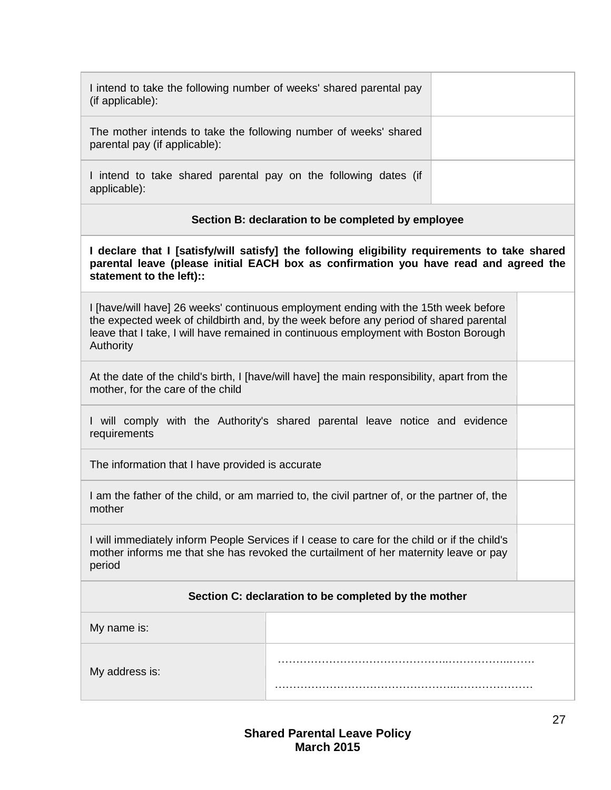| I intend to take the following number of weeks' shared parental pay<br>(if applicable):                                                                                                                                                                                           |                                                    |  |  |
|-----------------------------------------------------------------------------------------------------------------------------------------------------------------------------------------------------------------------------------------------------------------------------------|----------------------------------------------------|--|--|
| The mother intends to take the following number of weeks' shared<br>parental pay (if applicable):                                                                                                                                                                                 |                                                    |  |  |
| I intend to take shared parental pay on the following dates (if<br>applicable):                                                                                                                                                                                                   |                                                    |  |  |
|                                                                                                                                                                                                                                                                                   | Section B: declaration to be completed by employee |  |  |
| I declare that I [satisfy/will satisfy] the following eligibility requirements to take shared<br>parental leave (please initial EACH box as confirmation you have read and agreed the<br>statement to the left)::                                                                 |                                                    |  |  |
| I [have/will have] 26 weeks' continuous employment ending with the 15th week before<br>the expected week of childbirth and, by the week before any period of shared parental<br>leave that I take, I will have remained in continuous employment with Boston Borough<br>Authority |                                                    |  |  |
| At the date of the child's birth, I [have/will have] the main responsibility, apart from the<br>mother, for the care of the child                                                                                                                                                 |                                                    |  |  |
| I will comply with the Authority's shared parental leave notice and evidence<br>requirements                                                                                                                                                                                      |                                                    |  |  |
| The information that I have provided is accurate                                                                                                                                                                                                                                  |                                                    |  |  |
| I am the father of the child, or am married to, the civil partner of, or the partner of, the<br>mother                                                                                                                                                                            |                                                    |  |  |
| I will immediately inform People Services if I cease to care for the child or if the child's<br>mother informs me that she has revoked the curtailment of her maternity leave or pay<br>period                                                                                    |                                                    |  |  |
| Section C: declaration to be completed by the mother                                                                                                                                                                                                                              |                                                    |  |  |
| My name is:                                                                                                                                                                                                                                                                       |                                                    |  |  |
| My address is:                                                                                                                                                                                                                                                                    |                                                    |  |  |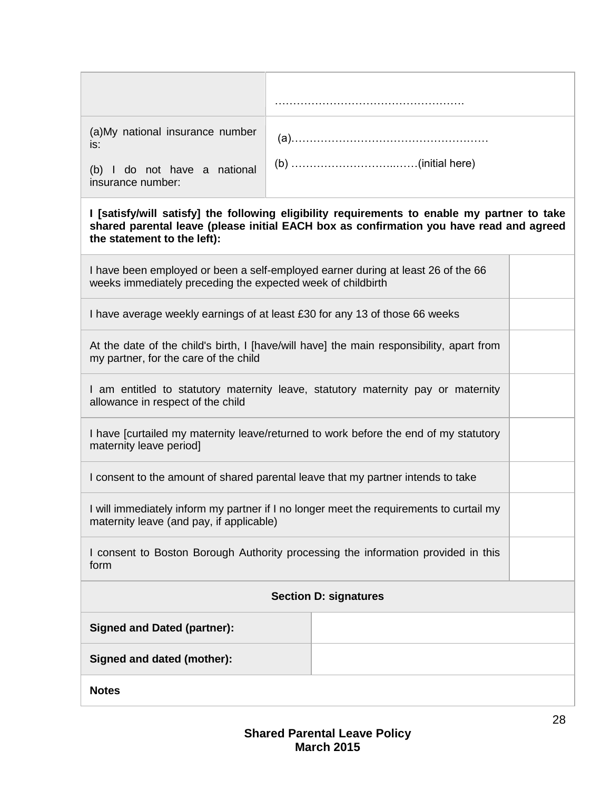| (a)My national insurance number<br>is:                                                                                                                                                                                 |                                                                             |  |  |
|------------------------------------------------------------------------------------------------------------------------------------------------------------------------------------------------------------------------|-----------------------------------------------------------------------------|--|--|
| (b) I do not have a national<br>insurance number:                                                                                                                                                                      |                                                                             |  |  |
| I [satisfy/will satisfy] the following eligibility requirements to enable my partner to take<br>shared parental leave (please initial EACH box as confirmation you have read and agreed<br>the statement to the left): |                                                                             |  |  |
| I have been employed or been a self-employed earner during at least 26 of the 66<br>weeks immediately preceding the expected week of childbirth                                                                        |                                                                             |  |  |
|                                                                                                                                                                                                                        | I have average weekly earnings of at least £30 for any 13 of those 66 weeks |  |  |
| At the date of the child's birth, I [have/will have] the main responsibility, apart from<br>my partner, for the care of the child                                                                                      |                                                                             |  |  |
| I am entitled to statutory maternity leave, statutory maternity pay or maternity<br>allowance in respect of the child                                                                                                  |                                                                             |  |  |
| I have [curtailed my maternity leave/returned to work before the end of my statutory<br>maternity leave period]                                                                                                        |                                                                             |  |  |
| I consent to the amount of shared parental leave that my partner intends to take                                                                                                                                       |                                                                             |  |  |
| I will immediately inform my partner if I no longer meet the requirements to curtail my<br>maternity leave (and pay, if applicable)                                                                                    |                                                                             |  |  |
| I consent to Boston Borough Authority processing the information provided in this<br>form                                                                                                                              |                                                                             |  |  |
| <b>Section D: signatures</b>                                                                                                                                                                                           |                                                                             |  |  |
| <b>Signed and Dated (partner):</b>                                                                                                                                                                                     |                                                                             |  |  |
| Signed and dated (mother):                                                                                                                                                                                             |                                                                             |  |  |
| <b>Notes</b>                                                                                                                                                                                                           |                                                                             |  |  |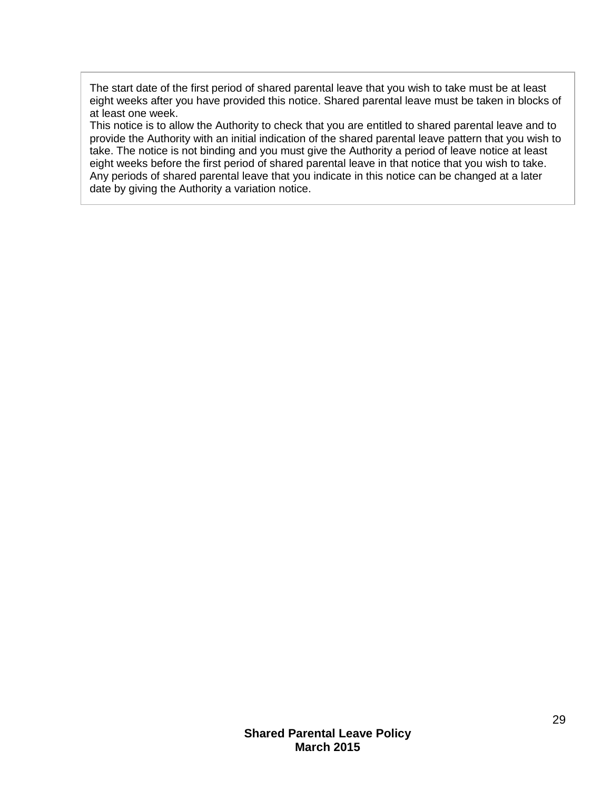The start date of the first period of shared parental leave that you wish to take must be at least eight weeks after you have provided this notice. Shared parental leave must be taken in blocks of at least one week.

This notice is to allow the Authority to check that you are entitled to shared parental leave and to provide the Authority with an initial indication of the shared parental leave pattern that you wish to take. The notice is not binding and you must give the Authority a period of leave notice at least eight weeks before the first period of shared parental leave in that notice that you wish to take. Any periods of shared parental leave that you indicate in this notice can be changed at a later date by giving the Authority a variation notice.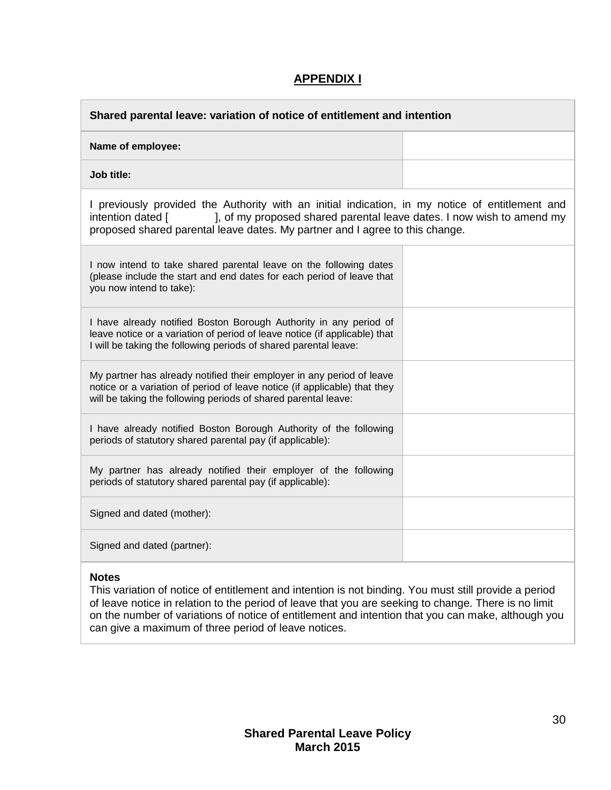# **APPENDIX I**

<span id="page-29-0"></span>

| Shared parental leave: variation of notice of entitlement and intention                                                                                                                                                                                                       |  |  |
|-------------------------------------------------------------------------------------------------------------------------------------------------------------------------------------------------------------------------------------------------------------------------------|--|--|
| Name of employee:                                                                                                                                                                                                                                                             |  |  |
| Job title:                                                                                                                                                                                                                                                                    |  |  |
| I previously provided the Authority with an initial indication, in my notice of entitlement and<br>], of my proposed shared parental leave dates. I now wish to amend my<br>intention dated [<br>proposed shared parental leave dates. My partner and I agree to this change. |  |  |
| I now intend to take shared parental leave on the following dates<br>(please include the start and end dates for each period of leave that<br>you now intend to take):                                                                                                        |  |  |
| I have already notified Boston Borough Authority in any period of<br>leave notice or a variation of period of leave notice (if applicable) that<br>I will be taking the following periods of shared parental leave:                                                           |  |  |
| My partner has already notified their employer in any period of leave<br>notice or a variation of period of leave notice (if applicable) that they<br>will be taking the following periods of shared parental leave:                                                          |  |  |
| I have already notified Boston Borough Authority of the following<br>periods of statutory shared parental pay (if applicable):                                                                                                                                                |  |  |
| My partner has already notified their employer of the following<br>periods of statutory shared parental pay (if applicable):                                                                                                                                                  |  |  |
| Signed and dated (mother):                                                                                                                                                                                                                                                    |  |  |
| Signed and dated (partner):                                                                                                                                                                                                                                                   |  |  |
| <b>Notes</b>                                                                                                                                                                                                                                                                  |  |  |

This variation of notice of entitlement and intention is not binding. You must still provide a period of leave notice in relation to the period of leave that you are seeking to change. There is no limit on the number of variations of notice of entitlement and intention that you can make, although you can give a maximum of three period of leave notices.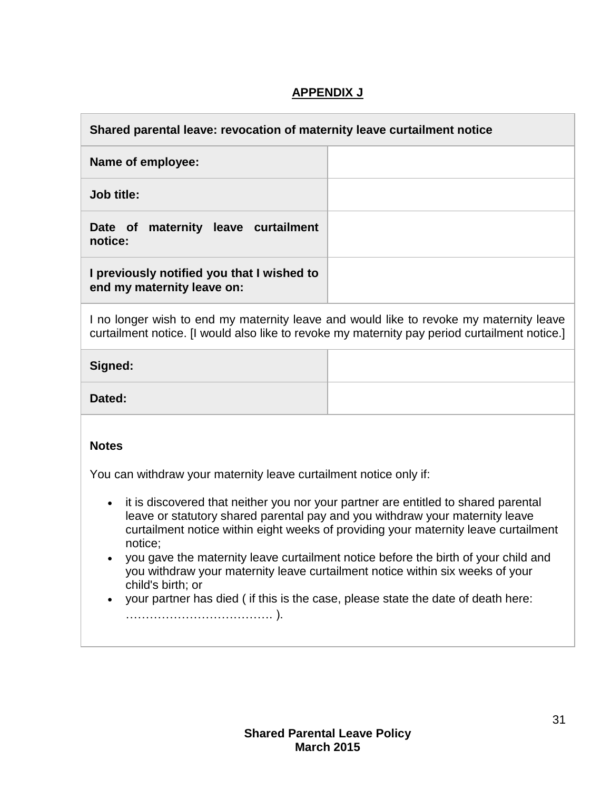# **APPENDIX J**

<span id="page-30-0"></span>

| Shared parental leave: revocation of maternity leave curtailment notice                                                                                                                                                                                                                                                                                                                                                                                                                                                                                                                                                                                                          |  |  |
|----------------------------------------------------------------------------------------------------------------------------------------------------------------------------------------------------------------------------------------------------------------------------------------------------------------------------------------------------------------------------------------------------------------------------------------------------------------------------------------------------------------------------------------------------------------------------------------------------------------------------------------------------------------------------------|--|--|
| Name of employee:                                                                                                                                                                                                                                                                                                                                                                                                                                                                                                                                                                                                                                                                |  |  |
| Job title:                                                                                                                                                                                                                                                                                                                                                                                                                                                                                                                                                                                                                                                                       |  |  |
| Date of maternity leave curtailment<br>notice:                                                                                                                                                                                                                                                                                                                                                                                                                                                                                                                                                                                                                                   |  |  |
| I previously notified you that I wished to<br>end my maternity leave on:                                                                                                                                                                                                                                                                                                                                                                                                                                                                                                                                                                                                         |  |  |
| I no longer wish to end my maternity leave and would like to revoke my maternity leave<br>curtailment notice. [I would also like to revoke my maternity pay period curtailment notice.]                                                                                                                                                                                                                                                                                                                                                                                                                                                                                          |  |  |
| Signed:                                                                                                                                                                                                                                                                                                                                                                                                                                                                                                                                                                                                                                                                          |  |  |
| Dated:                                                                                                                                                                                                                                                                                                                                                                                                                                                                                                                                                                                                                                                                           |  |  |
| <b>Notes</b><br>You can withdraw your maternity leave curtailment notice only if:<br>it is discovered that neither you nor your partner are entitled to shared parental<br>$\bullet$<br>leave or statutory shared parental pay and you withdraw your maternity leave<br>curtailment notice within eight weeks of providing your maternity leave curtailment<br>notice;<br>you gave the maternity leave curtailment notice before the birth of your child and<br>$\bullet$<br>you withdraw your maternity leave curtailment notice within six weeks of your<br>child's birth; or<br>your partner has died (if this is the case, please state the date of death here:<br>$\bullet$ |  |  |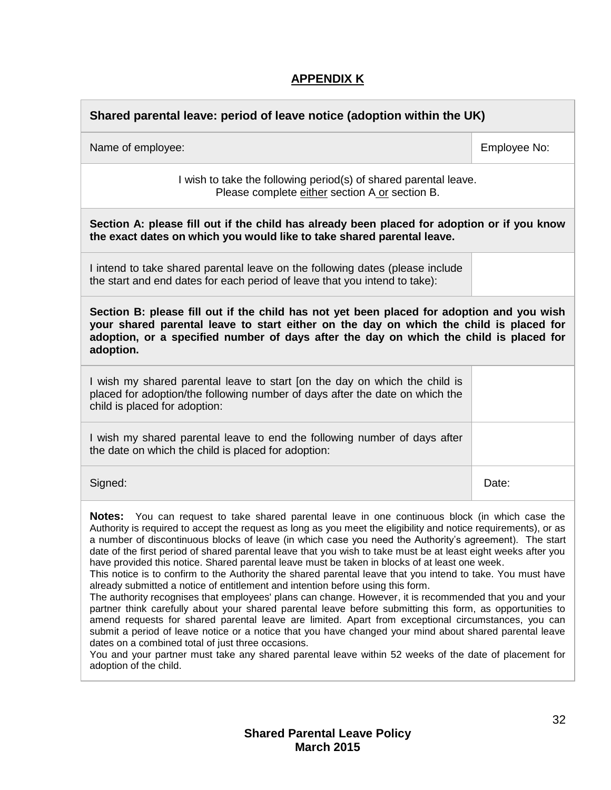#### **APPENDIX K**

<span id="page-31-0"></span>

| Shared parental leave: period of leave notice (adoption within the UK)                                                                                                                                                                                                                     |              |  |
|--------------------------------------------------------------------------------------------------------------------------------------------------------------------------------------------------------------------------------------------------------------------------------------------|--------------|--|
| Name of employee:                                                                                                                                                                                                                                                                          | Employee No: |  |
| I wish to take the following period(s) of shared parental leave.<br>Please complete either section A or section B.                                                                                                                                                                         |              |  |
| Section A: please fill out if the child has already been placed for adoption or if you know<br>the exact dates on which you would like to take shared parental leave.                                                                                                                      |              |  |
| I intend to take shared parental leave on the following dates (please include<br>the start and end dates for each period of leave that you intend to take):                                                                                                                                |              |  |
| Section B: please fill out if the child has not yet been placed for adoption and you wish<br>your shared parental leave to start either on the day on which the child is placed for<br>adoption, or a specified number of days after the day on which the child is placed for<br>adoption. |              |  |
| I wish my shared parental leave to start [on the day on which the child is<br>placed for adoption/the following number of days after the date on which the<br>child is placed for adoption:                                                                                                |              |  |
| I wish my shared parental leave to end the following number of days after<br>the date on which the child is placed for adoption:                                                                                                                                                           |              |  |
| Signed:                                                                                                                                                                                                                                                                                    | Date:        |  |
| Notes:<br>You can request to take shared parental leave in one continuous block (in which case the                                                                                                                                                                                         |              |  |

Authority is required to accept the request as long as you meet the eligibility and notice requirements), or as a number of discontinuous blocks of leave (in which case you need the Authority's agreement). The start date of the first period of shared parental leave that you wish to take must be at least eight weeks after you have provided this notice. Shared parental leave must be taken in blocks of at least one week.

This notice is to confirm to the Authority the shared parental leave that you intend to take. You must have already submitted a notice of entitlement and intention before using this form.

The authority recognises that employees' plans can change. However, it is recommended that you and your partner think carefully about your shared parental leave before submitting this form, as opportunities to amend requests for shared parental leave are limited. Apart from exceptional circumstances, you can submit a period of leave notice or a notice that you have changed your mind about shared parental leave dates on a combined total of just three occasions.

You and your partner must take any shared parental leave within 52 weeks of the date of placement for adoption of the child.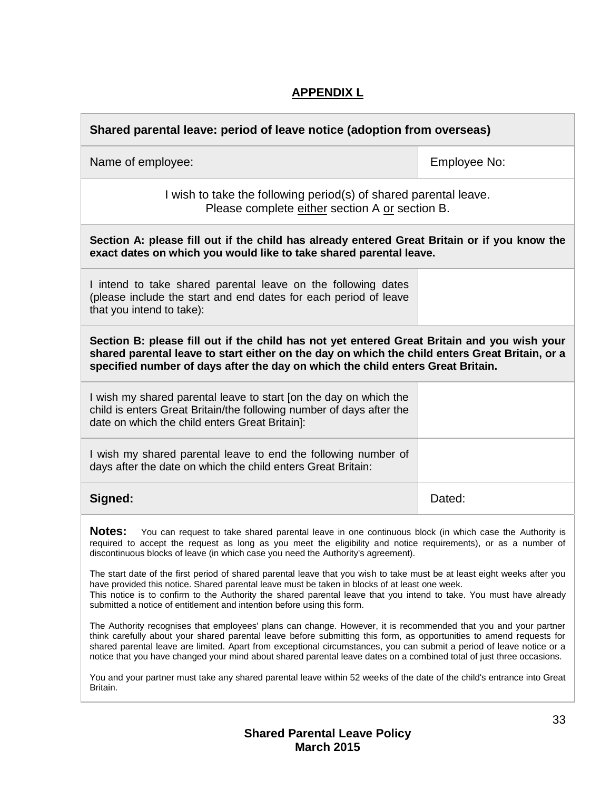# **APPENDIX L**

<span id="page-32-0"></span>

| Shared parental leave: period of leave notice (adoption from overseas)                                                                                                                                                                                                                                                                                                                                                                                                                    |              |  |
|-------------------------------------------------------------------------------------------------------------------------------------------------------------------------------------------------------------------------------------------------------------------------------------------------------------------------------------------------------------------------------------------------------------------------------------------------------------------------------------------|--------------|--|
| Name of employee:                                                                                                                                                                                                                                                                                                                                                                                                                                                                         | Employee No: |  |
| I wish to take the following period(s) of shared parental leave.<br>Please complete either section A or section B.                                                                                                                                                                                                                                                                                                                                                                        |              |  |
| Section A: please fill out if the child has already entered Great Britain or if you know the<br>exact dates on which you would like to take shared parental leave.                                                                                                                                                                                                                                                                                                                        |              |  |
| I intend to take shared parental leave on the following dates<br>(please include the start and end dates for each period of leave<br>that you intend to take):                                                                                                                                                                                                                                                                                                                            |              |  |
| Section B: please fill out if the child has not yet entered Great Britain and you wish your<br>shared parental leave to start either on the day on which the child enters Great Britain, or a<br>specified number of days after the day on which the child enters Great Britain.                                                                                                                                                                                                          |              |  |
| I wish my shared parental leave to start [on the day on which the<br>child is enters Great Britain/the following number of days after the<br>date on which the child enters Great Britain]:                                                                                                                                                                                                                                                                                               |              |  |
| I wish my shared parental leave to end the following number of<br>days after the date on which the child enters Great Britain:                                                                                                                                                                                                                                                                                                                                                            |              |  |
| Signed:                                                                                                                                                                                                                                                                                                                                                                                                                                                                                   | Dated:       |  |
| Notes:<br>You can request to take shared parental leave in one continuous block (in which case the Authority is<br>required to accept the request as long as you meet the eligibility and notice requirements), or as a number of<br>discontinuous blocks of leave (in which case you need the Authority's agreement).                                                                                                                                                                    |              |  |
| The start date of the first period of shared parental leave that you wish to take must be at least eight weeks after you<br>have provided this notice. Shared parental leave must be taken in blocks of at least one week.<br>This notice is to confirm to the Authority the shared parental leave that you intend to take. You must have already<br>submitted a notice of entitlement and intention before using this form.                                                              |              |  |
| The Authority recognises that employees' plans can change. However, it is recommended that you and your partner<br>think carefully about your shared parental leave before submitting this form, as opportunities to amend requests for<br>shared parental leave are limited. Apart from exceptional circumstances, you can submit a period of leave notice or a<br>notice that you have changed your mind about shared parental leave dates on a combined total of just three occasions. |              |  |
| You and your partner must take any shared parental leave within 52 weeks of the date of the child's entrance into Great<br>Britain.                                                                                                                                                                                                                                                                                                                                                       |              |  |